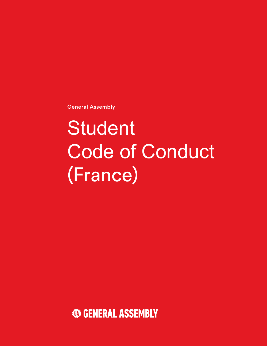General Assembly

# Student Code of Conduct (France)

**<b>GENERAL ASSEMBLY**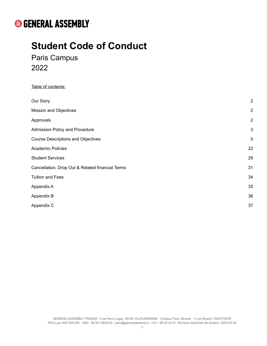# **Student Code of Conduct**

Paris Campus 2022

#### Table of contents:

| Our Story                                        | $\overline{2}$ |
|--------------------------------------------------|----------------|
| <b>Mission and Objectives</b>                    | $\overline{2}$ |
| Approvals                                        | $\overline{2}$ |
| Admission Policy and Procedure                   | $\mathbf{3}$   |
| <b>Course Descriptions and Objectives</b>        | 5              |
| <b>Academic Policies</b>                         | 22             |
| <b>Student Services</b>                          | 29             |
| Cancellation, Drop Out & Related financial Terms | 31             |
| <b>Tuition and Fees</b>                          | 34             |
| Appendix A                                       | 35             |
| Appendix B                                       | 36             |
| Appendix C                                       | 37             |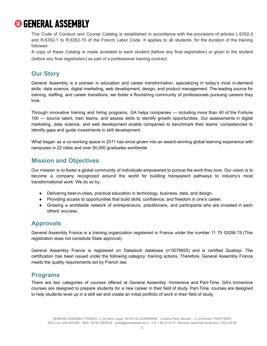This Code of Conduct and Course Catalog is established in accordance with the provisions of articles L.6352-3 and R.6352-1 to R.6352-15 of the French Labor Code. It applies to all students, for the duration of the training followed.

A copy of these Catalog is made available to each student (before any final registration) or given to the student (before any final registration) as part of a professional training contract.

### <span id="page-2-0"></span>**Our Story**

General Assembly is a pioneer in education and career transformation, specializing in today's most in-demand skills: data science, digital marketing, web development, design, and product management. The leading source for training, staffing, and career transitions, we foster a flourishing community of professionals pursuing careers they love.

Through innovative training and hiring programs, GA helps companies — including more than 40 of the Fortune 100 — source talent, train teams, and assess skills to identify growth opportunities. Our assessments in digital marketing, data science, and web development enable companies to benchmark their teams' competencies to identify gaps and guide investments in skill development.

What began as a co-working space in 2011 has since grown into an award-winning global learning experience with campuses in 22 cities and over 50,000 graduates worldwide.

### <span id="page-2-1"></span>**Mission and Objectives**

Our mission is to foster a global community of individuals empowered to pursue the work they love. Our vision is to become a company recognized around the world for building transparent pathways to industry's most transformational work. We do so by:

- Delivering best-in-class, practical education in technology, business, data, and design.
- Providing access to opportunities that build skills, confidence, and freedom in one's career.
- Growing a worldwide network of entrepreneurs, practitioners, and participants who are invested in each others' success.

### <span id="page-2-2"></span>**Approvals**

General Assembly France is a training organization registered in France under the number 11 75 52056 75 (This registration does not constitute State approval).

General Assembly France is registered on Datadock database (n°0078925) and is certified Qualiopi. The certification has been issued under the following category: training actions. Therefore, General Assembly France meets the quality requirements set by French law.

### **Programs**

There are two categories of courses offered at General Assembly: Immersive and Part-Time. GA's Immersive courses are designed to prepare students for a new career in their field of study. Part-Time courses are designed to help students level up in a skill set and create an initial portfolio of work in their field of study.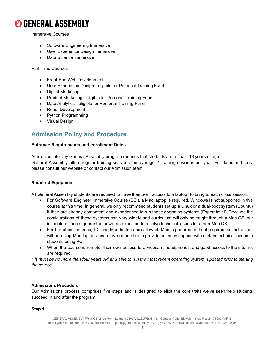

Immersive Courses

- Software Engineering Immersive
- User Experience Design Immersive
- Data Science Immersive

#### Part-Time Courses

- Front-End Web Development
- User Experience Design eligible for Personal Training Fund
- Digital Marketing
- Product Marketing eligible for Personal Training Fund
- Data Analytics eligible for Personal Training Fund
- React Development
- Python Programming
- Visual Design

### <span id="page-3-0"></span>**Admission Policy and Procedure**

#### **Entrance Requirements and enrollment Dates**

Admission into any General Assembly program requires that students are at least 18 years of age. General Assembly offers regular training sessions: on average, 4 training sessions per year. For dates and fees, please consult our website or contact our Admission team.

#### **Required Equipment**

All General Assembly students are required to have their own access to a laptop\* to bring to each class session.

- For Software Engineer Immersive Course (SEI), a Mac laptop is required. Windows is not supported in this course at this time. In general, we only recommend students set up a Linux or a dual-boot system (Ubuntu) if they are already competent and experienced to run those operating systems (Expert level). Because the configurations of these systems can vary widely and curriculum will only be taught through a Mac OS, our instructors cannot guarantee or will be expected to resolve technical issues for a non-Mac OS.
- For the other courses, PC and Mac laptops are allowed. Mac is preferred but not required, as instructors will be using Mac laptops and may not be able to provide as much support with certain technical issues to students using PCs.
- When the course is remote, their own access to a webcam, headphones, and good access to the internet are required.

\* It must be no more than four years old and able to run the most recent operating system, updated prior to starting *the course.*

#### **Admissions Procedure**

Our Admissions process comprises five steps and is designed to elicit the core traits we've seen help students succeed in and after the program:

#### **Step 1**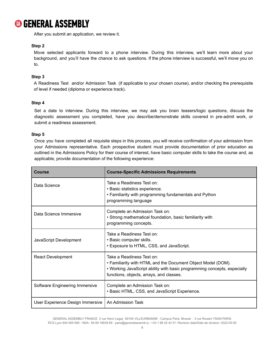

After you submit an application, we review it.

#### **Step 2**

Move selected applicants forward to a phone interview. During this interview, we'll learn more about your background, and you'll have the chance to ask questions. If the phone interview is successful, we'll move you on to.

#### **Step 3**

A Readiness Test and/or Admission Task (if applicable to your chosen course), and/or checking the prerequisite of level if needed (diploma or experience track).

#### **Step 4**

Set a date to interview. During this interview, we may ask you brain teasers/logic questions, discuss the diagnostic assessment you completed, have you describe/demonstrate skills covered in pre-admit work, or submit a readiness assessment.

#### **Step 5**

Once you have completed all requisite steps in this process, you will receive confirmation of your admission from your Admissions representative. Each prospective student must provide documentation of prior education as outlined in the Admissions Policy for their course of interest, have basic computer skills to take the course and, as applicable, provide documentation of the following experience:

| <b>Course</b>                    | <b>Course-Specific Admissions Requirements</b>                                                                                                                                                                    |
|----------------------------------|-------------------------------------------------------------------------------------------------------------------------------------------------------------------------------------------------------------------|
| Data Science                     | Take a Readiness Test on:<br>• Basic statistics experience.<br>• Familiarity with programming fundamentals and Python<br>programming language                                                                     |
| Data Science Immersive           | Complete an Admission Task on:<br>• Strong mathematical foundation, basic familiarity with<br>programming concepts.                                                                                               |
| JavaScript Development           | Take a Readiness Test on:<br>• Basic computer skills.<br>• Exposure to HTML, CSS, and JavaScript.                                                                                                                 |
| <b>React Development</b>         | Take a Readiness Test on:<br>• Familiarity with HTML and the Document Object Model (DOM).<br>. Working JavaScript ability with basic programming concepts, especially<br>functions, objects, arrays, and classes. |
| Software Engineering Immersive   | Complete an Admission Task on:<br>• Basic HTML, CSS, and JavaScript Experience.                                                                                                                                   |
| User Experience Design Immersive | An Admission Task                                                                                                                                                                                                 |

GENERAL ASSEMBLY FRANCE 2 rue Henri Legay 69100 VILLEURBANNE - Campus Paris: Bivwak - 3 rue Rossini 75009 PARIS RCS Lyon 844 905 695 - NDA : 84 69 16839 69 - [paris@generalassemb.ly](mailto:paris@generalassemb.ly) - +33 1 88 24 42 51- Revision date/Date de révision: 2022-05-05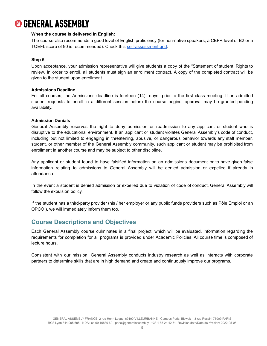#### **When the course is delivered in English:**

The course also recommends a good level of English proficiency (for non-native speakers, a CEFR level of B2 or a TOEFL score of 90 is recommended). Check this [self-assessment](https://rm.coe.int/CoERMPublicCommonSearchServices/DisplayDCTMContent?documentId=090000168045bb52) grid.

#### **Step 6**

Upon acceptance, your admission representative will give students a copy of the "Statement of student Rights to review. In order to enroll, all students must sign an enrollment contract. A copy of the completed contract will be given to the student upon enrollment.

#### **Admissions Deadline**

For all courses, the Admissions deadline is fourteen (14) days prior to the first class meeting. If an admitted student requests to enroll in a different session before the course begins, approval may be granted pending availability.

#### **Admission Denials**

General Assembly reserves the right to deny admission or readmission to any applicant or student who is disruptive to the educational environment. If an applicant or student violates General Assembly's code of conduct, including but not limited to engaging in threatening, abusive, or dangerous behavior towards any staff member, student, or other member of the General Assembly community, such applicant or student may be prohibited from enrollment in another course and may be subject to other discipline.

Any applicant or student found to have falsified information on an admissions document or to have given false information relating to admissions to General Assembly will be denied admission or expelled if already in attendance.

In the event a student is denied admission or expelled due to violation of code of conduct, General Assembly will follow the expulsion policy.

If the student has a third-party provider (his / her employer or any public funds providers such as Pôle Emploi or an OPCO ), we will immediately inform them too.

### <span id="page-5-0"></span>**Course Descriptions and Objectives**

Each General Assembly course culminates in a final project, which will be evaluated. Information regarding the requirements for completion for all programs is provided under Academic Policies. All course time is composed of lecture hours.

Consistent with our mission, General Assembly conducts industry research as well as interacts with corporate partners to determine skills that are in high demand and create and continuously improve our programs.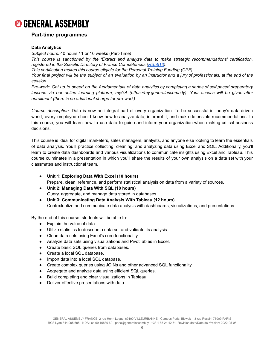

#### **Part-time programmes**

#### **Data Analytics**

*Subject hours:* 40 hours / 1 or 10 weeks (Part-Time*)*

*This course is sanctioned by the 'Extract and analyze data to make strategic recommendations' certification, registered in the Specific Directory of France Compétences ([RS5613\)](https://www.francecompetences.fr/recherche/rs/5613/).*

*This certification makes this course eligible for the Personal Training Funding (CPF).*

Your final project will be the subject of an evaluation by an instructor and a jury of professionals, at the end of the *session.*

Pre-work: Get up to speed on the fundamentals of data analytics by completing a series of self paced preparatory *lessons via our online learning platform, myGA (https://my.generalassemb.ly). Your access will be given after enrollment (there is no additional charge for pre-work).*

*Course description*: Data is now an integral part of every organization. To be successful in today's data-driven world, every employee should know how to analyze data, interpret it, and make defensible recommendations. In this course, you will learn how to use data to guide and inform your organization when making critical business decisions.

This course is ideal for digital marketers, sales managers, analysts, and anyone else looking to learn the essentials of data analysis. You'll practice collecting, cleaning, and analyzing data using Excel and SQL. Additionally, you'll learn to create data dashboards and various visualizations to communicate insights using Excel and Tableau. This course culminates in a presentation in which you'll share the results of your own analysis on a data set with your classmates and instructional team.

● **Unit 1: Exploring Data With Excel (10 hours)**

Prepare, clean, reference, and perform statistical analysis on data from a variety of sources.

- **Unit 2: Managing Data With SQL (18 hours)** Query, aggregate, and manage data stored in databases.
- **Unit 3: Communicating Data Analysis With Tableau (12 hours)** Contextualize and communicate data analysis with dashboards, visualizations, and presentations.

By the end of this course, students will be able to:

- Explain the value of data.
- Utilize statistics to describe a data set and validate its analysis.
- Clean data sets using Excel's core functionality.
- Analyze data sets using visualizations and PivotTables in Excel.
- Create basic SQL queries from databases.
- Create a local SQL database.
- Import data into a local SQL database.
- Create complex queries using JOINs and other advanced SQL functionality.
- Aggregate and analyze data using efficient SQL queries.
- Build completing and clear visualizations in Tableau.
- Deliver effective presentations with data.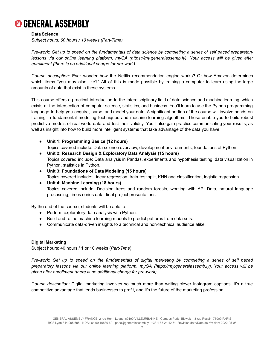

#### **Data Science**

*Subject hours: 60 hours / 10 weeks (Part-Time)*

Pre-work: Get up to speed on the fundamentals of data science by completing a series of self paced preparatory *lessons via our online learning platform, myGA (https://my.generalassemb.ly). Your access will be given after enrollment (there is no additional charge for pre-work).*

*Course description:* Ever wonder how the Netflix recommendation engine works? Or how Amazon determines which items "you may also like?" All of this is made possible by training a computer to learn using the large amounts of data that exist in these systems.

This course offers a practical introduction to the interdisciplinary field of data science and machine learning, which exists at the intersection of computer science, statistics, and business. You'll learn to use the Python programming language to help you acquire, parse, and model your data. A significant portion of the course will involve hands-on training in fundamental modeling techniques and machine learning algorithms. These enable you to build robust predictive models of real-world data and test their validity. You'll also gain practice communicating your results, as well as insight into how to build more intelligent systems that take advantage of the data you have.

- **Unit 1: Programming Basics (12 hours)** Topics covered include: Data science overview, development environments, foundations of Python.
- **Unit 2: Research Design & Exploratory Data Analysis (15 hours)** Topics covered include: Data analysis in Pandas, experiments and hypothesis testing, data visualization in Python, statistics in Python.
- **Unit 3: Foundations of Data Modeling (15 hours)** Topics covered include: Linear regression, train-test split, KNN and classification, logistic regression.
- **Unit 4: Machine Learning (18 hours)** Topics covered include: Decision trees and random forests, working with API Data, natural language processing, times series data, final project presentations.

By the end of the course, students will be able to:

- Perform exploratory data analysis with Python.
- Build and refine machine learning models to predict patterns from data sets.
- Communicate data-driven insights to a technical and non-technical audience alike.

#### **Digital Marketing**

Subject hours: 40 hours / 1 or 10 weeks (*Part-Time*)

Pre-work: Get up to speed on the fundamentals of digital marketing by completing a series of self paced *preparatory lessons via our online learning platform, myGA (https://my.generalassemb.ly). Your access will be given after enrollment (there is no additional charge for pre-work).*

*Course description:* Digital marketing involves so much more than writing clever Instagram captions. It's a true competitive advantage that leads businesses to profit, and it's the future of the marketing profession.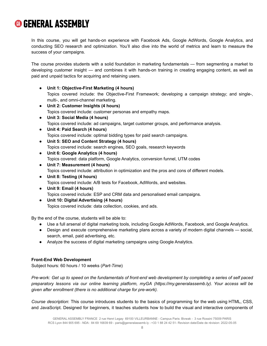In this course, you will get hands-on experience with Facebook Ads, Google AdWords, Google Analytics, and conducting SEO research and optimization. You'll also dive into the world of metrics and learn to measure the success of your campaigns.

The course provides students with a solid foundation in marketing fundamentals — from segmenting a market to developing customer insight — and combines it with hands-on training in creating engaging content, as well as paid and unpaid tactics for acquiring and retaining users.

- **Unit 1: Objective-First Marketing (4 hours)** Topics covered include: the Objective-First Framework; developing a campaign strategy; and single-, multi-, and omni-channel marketing.
- **Unit 2: Customer Insights (4 hours)** Topics covered include: customer personas and empathy maps.
- **Unit 3: Social Media (4 hours)** Topics covered include: ad campaigns, target customer groups, and performance analysis.
- **Unit 4: Paid Search (4 hours)** Topics covered include: optimal bidding types for paid search campaigns.
- **Unit 5: SEO and Content Strategy (4 hours)** Topics covered include: search engines, SEO goals, research keywords
- **Unit 6: Google Analytics (4 hours)** Topics covered: data platform, Google Analytics, conversion funnel, UTM codes
- **Unit 7: Measurement (4 hours)** Topics covered include: attribution in optimization and the pros and cons of different models.
- **Unit 8: Testing (4 hours)** Topics covered include: A/B tests for Facebook, AdWords, and websites.
- **Unit 9: Email (4 hours)** Topics covered include: ESP and CRM data and personalised email campaigns.
- **Unit 10: Digital Advertising (4 hours)** Topics covered include: data collection, cookies, and ads.

By the end of the course, students will be able to:

- Use a full arsenal of digital marketing tools, including Google AdWords, Facebook, and Google Analytics.
- Design and execute comprehensive marketing plans across a variety of modern digital channels social, search, email, paid advertising, etc.
- Analyze the success of digital marketing campaigns using Google Analytics.

#### **Front-End Web Development**

Subject hours: 60 hours / 10 weeks (*Part-Time*)

Pre-work: Get up to speed on the fundamentals of front-end web development by completing a series of self paced *preparatory lessons via our online learning platform, myGA (https://my.generalassemb.ly). Your access will be given after enrollment (there is no additional charge for pre-work).*

*Course description*: This course introduces students to the basics of programming for the web using HTML, CSS, and JavaScript. Designed for beginners, it teaches students how to build the visual and interactive components of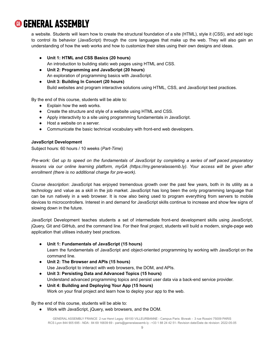a website. Students will learn how to create the structural foundation of a site (HTML), style it (CSS), and add logic to control its behavior (JavaScript) through the core languages that make up the web. They will also gain an understanding of how the web works and how to customize their sites using their own designs and ideas.

- **Unit 1: HTML and CSS Basics (20 hours)** An introduction to building static web pages using HTML and CSS.
- **Unit 2: Programming and JavaScript (20 hours)** An exploration of programming basics with JavaScript.
- **Unit 3: Building In Concert (20 hours)**

Build websites and program interactive solutions using HTML, CSS, and JavaScript best practices.

By the end of this course, students will be able to:

- Explain how the web works.
- Create the structure and style of a website using HTML and CSS.
- Apply interactivity to a site using programming fundamentals in JavaScript.
- Host a website on a server.
- Communicate the basic technical vocabulary with front-end web developers.

#### **JavaScript Development**

Subject hours: 60 hours / 10 weeks (*Part-Time*)

Pre-work: Get up to speed on the fundamentals of JavaScript by completing a series of self paced preparatory *lessons via our online learning platform, myGA (https://my.generalassemb.ly). Your access will be given after enrollment (there is no additional charge for pre-work).*

*Course description*: JavaScript has enjoyed tremendous growth over the past few years, both in its utility as a technology and value as a skill in the job market. JavaScript has long been the only programming language that can be run natively in a web browser. It is now also being used to program everything from servers to mobile devices to microcontrollers. Interest in and demand for JavaScript skills continue to increase and show few signs of slowing down in the future.

JavaScript Development teaches students a set of intermediate front-end development skills using JavaScript, jQuery, Git and GitHub, and the command line. For their final project, students will build a modern, single-page web application that utilises industry best practices.

- **Unit 1: Fundamentals of JavaScript (15 hours)** Learn the fundamentals of JavaScript and object-oriented programming by working with JavaScript on the command line.
- **Unit 2: The Browser and APIs (15 hours)** Use JavaScript to interact with web browsers, the DOM, and APIs.
- **Unit 3: Persisting Data and Advanced Topics (15 hours)** Understand advanced programming topics and persist user data via a back-end service provider.
- **Unit 4: Building and Deploying Your App (15 hours)** Work on your final project and learn how to deploy your app to the web.

By the end of this course, students will be able to:

● Work with JavaScript, jQuery, web browsers, and the DOM.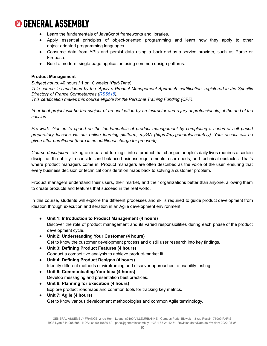- Learn the fundamentals of JavaScript frameworks and libraries.
- Apply essential principles of object-oriented programming and learn how they apply to other object-oriented programming languages.
- Consume data from APIs and persist data using a back-end-as-a-service provider, such as Parse or Firebase.
- Build a modern, single-page application using common design patterns.

#### **Product Management**

*Subject hours:* 40 hours / 1 or 10 weeks *(Part-Time*)

*This course is sanctioned by the 'Apply a Product Management Approach' certification, registered in the Specific Directory of France Compétences ([RS5615\)](https://www.francecompetences.fr/recherche/rs/5615/).*

*This certification makes this course eligible for the Personal Training Funding (CPF).*

Your final project will be the subject of an evaluation by an instructor and a jury of professionals, at the end of the *session.*

Pre-work: Get up to speed on the fundamentals of product management by completing a series of self paced *preparatory lessons via our online learning platform, myGA (https://my.generalassemb.ly). Your access will be given after enrollment (there is no additional charge for pre-work).*

*Course description:* Taking an idea and turning it into a product that changes people's daily lives requires a certain discipline; the ability to consider and balance business requirements, user needs, and technical obstacles. That's where product managers come in. Product managers are often described as the voice of the user, ensuring that every business decision or technical consideration maps back to solving a customer problem.

Product managers understand their users, their market, and their organizations better than anyone, allowing them to create products and features that succeed in the real world.

In this course, students will explore the different processes and skills required to guide product development from ideation through execution and iteration in an Agile development environment.

- **Unit 1: Introduction to Product Management (4 hours)** Discover the role of product management and its varied responsibilities during each phase of the product development cycle.
- **Unit 2: Understanding Your Customer (4 hours)** Get to know the customer development process and distill user research into key findings.
- **Unit 3: Defining Product Features (4 hours)** Conduct a competitive analysis to achieve product-market fit.
- **Unit 4: Defining Product Designs (4 hours)** Identify different methods of wireframing and discover approaches to usability testing.
- **Unit 5: Communicating Your Idea (4 hours)** Develop messaging and presentation best practices.
- **Unit 6: Planning for Execution (4 hours)** Explore product roadmaps and common tools for tracking key metrics.
- **Unit 7: Agile (4 hours)** Get to know various development methodologies and common Agile terminology.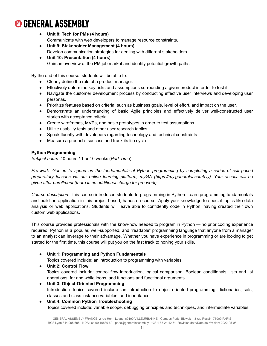- **Unit 8: Tech for PMs (4 hours)** Communicate with web developers to manage resource constraints.
- **Unit 9: Stakeholder Management (4 hours)** Develop communication strategies for dealing with different stakeholders.
- **Unit 10: Presentation (4 hours)** Gain an overview of the PM job market and identify potential growth paths.

By the end of this course, students will be able to:

- Clearly define the role of a product manager.
- Effectively determine key risks and assumptions surrounding a given product in order to test it.
- Navigate the customer development process by conducting effective user interviews and developing user personas.
- Prioritize features based on criteria, such as business goals, level of effort, and impact on the user.
- Demonstrate an understanding of basic Agile principles and effectively deliver well-constructed user stories with acceptance criteria.
- Create wireframes, MVPs, and basic prototypes in order to test assumptions.
- Utilize usability tests and other user research tactics.
- Speak fluently with developers regarding technology and technical constraints.
- Measure a product's success and track its life cycle.

#### **Python Programming**

*Subject hours:* 40 hours / 1 or 10 weeks (*Part-Time*)

Pre-work: Get up to speed on the fundamentals of Python programming by completing a series of self paced *preparatory lessons via our online learning platform, myGA (https://my.generalassemb.ly). Your access will be given after enrollment (there is no additional charge for pre-work).*

*Course description:* This course introduces students to programming in Python. Learn programming fundamentals and build an application in this project-based, hands-on course. Apply your knowledge to special topics like data analysis or web applications. Students will leave able to confidently code in Python, having created their own custom web applications.

This course provides professionals with the know-how needed to program in Python — no prior coding experience required. Python is a popular, well-supported, and "readable" programming language that anyone from a manager to an analyst can leverage to their advantage. Whether you have experience in programming or are looking to get started for the first time, this course will put you on the fast track to honing your skills.

#### ● **Unit 1: Programming and Python Fundamentals**

Topics covered include: an introduction to programming with variables.

- **Unit 2: Control Flow** Topics covered include: control flow introduction, logical comparison, Boolean conditionals, lists and list operations, for and while loops, and functions and functional arguments.
- **Unit 3: Object-Oriented Programming** Introduction Topics covered include: an introduction to object-oriented programming, dictionaries, sets, classes and class instance variables, and inheritance.
- **Unit 4: Common Python Troubleshooting** Topics covered include: variable scope, debugging principles and techniques, and intermediate variables.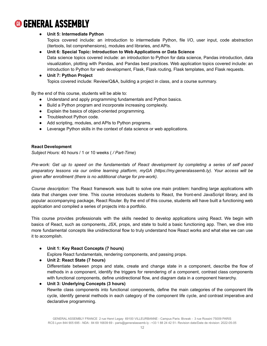#### ● **Unit 5: Intermediate Python**

Topics covered include: an introduction to intermediate Python, file I/O, user input, code abstraction (itertools, list comprehensions), modules and libraries, and APIs.

● **Unit 6: Special Topic: Introduction to Web Applications or Data Science** Data science topics covered include: an introduction to Python for data science, Pandas introduction, data visualization, plotting with Pandas, and Pandas best practices. Web application topics covered include: an introduction to Python for web development, Flask, Flask routing, Flask templates, and Flask requests.

● **Unit 7: Python Project** Topics covered include: Review/Q&A, building a project in class, and a course summary.

By the end of this course, students will be able to:

- Understand and apply programming fundamentals and Python basics.
- Build a Python program and incorporate increasing complexity.
- Explain the basics of object-oriented programming.
- Troubleshoot Python code.
- Add scripting, modules, and APIs to Python programs.
- Leverage Python skills in the context of data science or web applications.

#### **React Development**

*Subject Hours:* 40 hours / 1 or 10 weeks ( */ Part-Time*)

Pre-work: Get up to speed on the fundamentals of React development by completing a series of self paced *preparatory lessons via our online learning platform, myGA (https://my.generalassemb.ly). Your access will be given after enrollment (there is no additional charge for pre-work).*

*Course description:* The React framework was built to solve one main problem: handling large applications with data that changes over time. This course introduces students to React, the front-end JavaScript library, and its popular accompanying package, React Router. By the end of this course, students will have built a functioning web application and compiled a series of projects into a portfolio.

This course provides professionals with the skills needed to develop applications using React. We begin with basics of React, such as components, JSX, props, and state to build a basic functioning app. Then, we dive into more fundamental concepts like unidirectional flow to truly understand how React works and what else we can use it to accomplish.

#### ● **Unit 1: Key React Concepts (7 hours)**

Explore React fundamentals, rendering components, and passing props.

● **Unit 2: React State (7 hours)**

Differentiate between props and state, create and change state in a component, describe the flow of methods in a component, identify the triggers for rerendering of a component, contrast class components with functional components, define unidirectional flow, and diagram data in a component hierarchy.

#### ● **Unit 3: Underlying Concepts (3 hours)**

Rewrite class components into functional components, define the main categories of the component life cycle, identify general methods in each category of the component life cycle, and contrast imperative and declarative programming.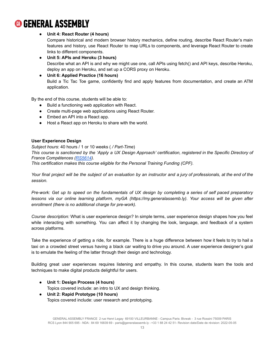#### ● **Unit 4: React Router (4 hours)**

Compare historical and modern browser history mechanics, define routing, describe React Router's main features and history, use React Router to map URLs to components, and leverage React Router to create links to different components.

● **Unit 5: APIs and Heroku (3 hours)** Describe what an API is and why we might use one, call APIs using fetch() and API keys, describe Heroku, deploy an app on Heroku, and set up a CORS proxy on Heroku.

● **Unit 6: Applied Practice (16 hours)** Build a Tic Tac Toe game, confidently find and apply features from documentation, and create an ATM application.

By the end of this course, students will be able to:

- Build a functioning web application with React.
- Create multi-page web applications using React Router.
- Embed an API into a React app.
- Host a React app on Heroku to share with the world.

#### **User Experience Design**

*Subject hours*: 40 hours / 1 or 10 weeks ( */ Part-Time*) This course is sanctioned by the 'Apply a UX Design Approach' certification, registered in the Specific Directory of *France Compétences ([RS5614\)](https://www.francecompetences.fr/recherche/rs/5614/). This certification makes this course eligible for the Personal Training Funding (CPF).*

Your final project will be the subject of an evaluation by an instructor and a jury of professionals, at the end of the *session.*

Pre-work: Get up to speed on the fundamentals of UX design by completing a series of self paced preparatory *lessons via our online learning platform, myGA (https://my.generalassemb.ly). Your access will be given after enrollment (there is no additional charge for pre-work).*

*Course description:* What is user experience design? In simple terms, user experience design shapes how you feel while interacting with something. You can affect it by changing the look, language, and feedback of a system across platforms.

Take the experience of getting a ride, for example. There is a huge difference between how it feels to try to hail a taxi on a crowded street versus having a black car waiting to drive you around. A user experience designer's goal is to emulate the feeling of the latter through their design and technology.

Building great user experiences requires listening and empathy. In this course, students learn the tools and techniques to make digital products delightful for users.

● **Unit 1: Design Process (4 hours)**

Topics covered include: an intro to UX and design thinking.

● **Unit 2: Rapid Prototype (10 hours)** Topics covered include: user research and prototyping.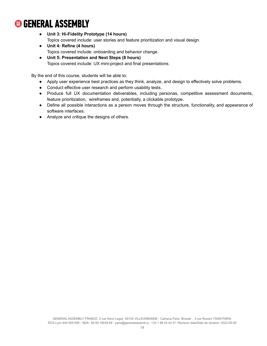- **Unit 3: Hi-Fidelity Prototype (14 hours)** Topics covered include: user stories and feature prioritization and visual design.
- **Unit 4: Refine (4 hours)** Topics covered include: onboarding and behavior change.
- **Unit 5: Presentation and Next Steps (8 hours)** Topics covered include: UX mini-project and final presentations.

By the end of this course, students will be able to:

- Apply user experience best practices as they think, analyze, and design to effectively solve problems.
- Conduct effective user research and perform usability tests.
- Produce full UX documentation deliverables, including personas, competitive assessment documents, feature prioritization, wireframes and, potentially, a clickable prototype.
- Define all possible interactions as a person moves through the structure, functionality, and appearance of software interfaces.
- Analyze and critique the designs of others.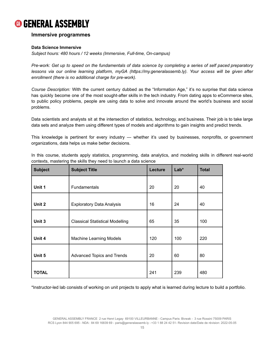#### **Immersive programmes**

#### **Data Science Immersive**

*Subject hours: 480 hours / 12 weeks (Immersive, Full-time, On-campus)*

Pre-work: Get up to speed on the fundamentals of data science by completing a series of self paced preparatory *lessons via our online learning platform, myGA (https://my.generalassemb.ly). Your access will be given after enrollment (there is no additional charge for pre-work).*

*Course Description:* With the current century dubbed as the "Information Age," it's no surprise that data science has quickly become one of the most sought-after skills in the tech industry. From dating apps to eCommerce sites, to public policy problems, people are using data to solve and innovate around the world's business and social problems.

Data scientists and analysts sit at the intersection of statistics, technology, and business. Their job is to take large data sets and analyze them using different types of models and algorithms to gain insights and predict trends.

This knowledge is pertinent for every industry — whether it's used by businesses, nonprofits, or government organizations, data helps us make better decisions.

In this course, students apply statistics, programming, data analytics, and modeling skills in different real-world contexts, mastering the skills they need to launch a data science

| <b>Subject</b> | <b>Subject Title</b>                   | Lecture | Lab* | <b>Total</b> |
|----------------|----------------------------------------|---------|------|--------------|
|                |                                        |         |      |              |
| Unit 1         | Fundamentals                           | 20      | 20   | 40           |
| Unit 2         | <b>Exploratory Data Analysis</b>       | 16      | 24   | 40           |
| Unit 3         | <b>Classical Statistical Modelling</b> | 65      | 35   | 100          |
| Unit 4         | <b>Machine Learning Models</b>         | 120     | 100  | 220          |
| Unit 5         | Advanced Topics and Trends             | 20      | 60   | 80           |
| <b>TOTAL</b>   |                                        | 241     | 239  | 480          |

\*Instructor-led lab consists of working on unit projects to apply what is learned during lecture to build a portfolio.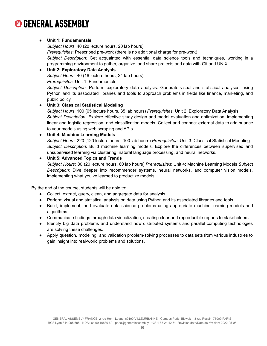#### ● **Unit 1: Fundamentals**

*Subject Hours*: 40 (20 lecture hours, 20 lab hours)

*Prerequisites*: Prescribed pre-work (there is no additional charge for pre-work)

*Subject Description:* Get acquainted with essential data science tools and techniques, working in a programming environment to gather, organize, and share projects and data with Git and UNIX.

#### ● **Unit 2: Exploratory Data Analysis**

*Subject Hours*: 40 (16 lecture hours, 24 lab hours)

*Prerequisites*: Unit 1: Fundamentals

*Subject Description:* Perform exploratory data analysis. Generate visual and statistical analyses, using Python and its associated libraries and tools to approach problems in fields like finance, marketing, and public policy.

#### ● **Unit 3: Classical Statistical Modeling**

*Subject Hours*: 100 (65 lecture hours, 35 lab hours) *Prerequisites*: Unit 2: Exploratory Data Analysis *Subject Description:* Explore effective study design and model evaluation and optimization, implementing linear and logistic regression, and classification models. Collect and connect external data to add nuance to your models using web scraping and APIs.

#### ● **Unit 4: Machine Learning Models**

*Subject Hours*: 220 (120 lecture hours, 100 lab hours) *Prerequisites*: Unit 3: Classical Statistical Modeling *Subject Description:* Build machine learning models. Explore the differences between supervised and unsupervised learning via clustering, natural language processing, and neural networks.

#### ● **Unit 5: Advanced Topics and Trends**

*Subject Hours*: 80 (20 lecture hours, 60 lab hours) *Prerequisites*: Unit 4: Machine Learning Models *Subject Description:* Dive deeper into recommender systems, neural networks, and computer vision models, implementing what you've learned to productize models.

By the end of the course, students will be able to:

- Collect, extract, query, clean, and aggregate data for analysis.
- Perform visual and statistical analysis on data using Python and its associated libraries and tools.
- Build, implement, and evaluate data science problems using appropriate machine learning models and algorithms.
- Communicate findings through data visualization, creating clear and reproducible reports to stakeholders.
- Identify big data problems and understand how distributed systems and parallel computing technologies are solving these challenges.
- Apply question, modeling, and validation problem-solving processes to data sets from various industries to gain insight into real-world problems and solutions.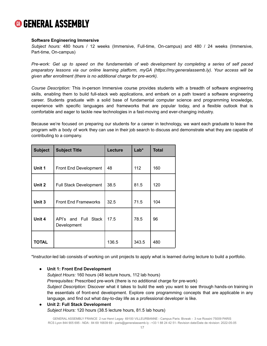#### **Software Engineering Immersive**

*Subject hours:* 480 hours / 12 weeks (Immersive, Full-time, On-campus) and 480 / 24 weeks (Immersive, Part-time, On-campus)

Pre-work: Get up to speed on the fundamentals of web development by completing a series of self paced *preparatory lessons via our online learning platform, myGA (https://my.generalassemb.ly). Your access will be given after enrollment (there is no additional charge for pre-work).*

*Course Description:* This in-person Immersive course provides students with a breadth of software engineering skills, enabling them to build full-stack web applications, and embark on a path toward a software engineering career. Students graduate with a solid base of fundamental computer science and programming knowledge, experience with specific languages and frameworks that are popular today, and a flexible outlook that is comfortable and eager to tackle new technologies in a fast-moving and ever-changing industry.

Because we're focused on preparing our students for a career in technology, we want each graduate to leave the program with a body of work they can use in their job search to discuss and demonstrate what they are capable of contributing to a company.

| <b>Subject</b> | <b>Subject Title</b>                          | Lecture | $Lab*$ | <b>Total</b> |
|----------------|-----------------------------------------------|---------|--------|--------------|
| Unit 1         | Front End Development                         | 48      | 112    | 160          |
| Unit 2         | <b>Full Stack Development</b>                 | 38.5    | 81.5   | 120          |
| Unit 3         | <b>Front End Frameworks</b>                   | 32.5    | 71.5   | 104          |
| Unit 4         | API's and Full<br><b>Stack</b><br>Development | 17.5    | 78.5   | 96           |
| <b>TOTAL</b>   |                                               | 136.5   | 343.5  | 480          |

\*Instructor-led lab consists of working on unit projects to apply what is learned during lecture to build a portfolio.

#### ● **Unit 1: Front End Development**

*Subject Hours:* 160 hours (48 lecture hours, 112 lab hours) *Prerequisites:* Prescribed pre-work (there is no additional charge for pre-work) *Subject Description:* Discover what it takes to build the web you want to see through hands-on training in the essentials of front-end development. Explore core programming concepts that are applicable in any language, and find out what day-to-day life as a professional developer is like.

#### ● **Unit 2: Full Stack Development** *Subject Hours:* 120 hours (38.5 lecture hours, 81.5 lab hours)

GENERAL ASSEMBLY FRANCE 2 rue Henri Legay 69100 VILLEURBANNE - Campus Paris: Bivwak - 3 rue Rossini 75009 PARIS RCS Lyon 844 905 695 - NDA : 84 69 16839 69 - [paris@generalassemb.ly](mailto:paris@generalassemb.ly) - +33 1 88 24 42 51- Revision date/Date de révision: 2022-05-05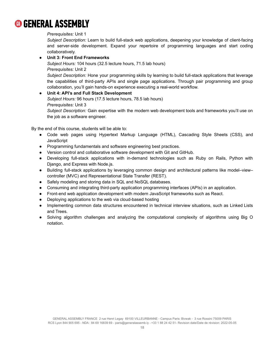#### *Prerequisites:* Unit 1

*Subject Description:* Learn to build full-stack web applications, deepening your knowledge of client-facing and server-side development. Expand your repertoire of programming languages and start coding collaboratively.

#### ● **Unit 3: Front End Frameworks**

*Subject Hours:* 104 hours (32.5 lecture hours, 71.5 lab hours) *Prerequisites:* Unit 2 *Subject Description:* Hone your programming skills by learning to build full-stack applications that leverage the capabilities of third-party APIs and single page applications. Through pair programming and group collaboration, you'll gain hands-on experience executing a real-world workflow.

#### ● **Unit 4: API's and Full Stack Development** *Subject Hours:* 96 hours (17.5 lecture hours, 78.5 lab hours)

*Prerequisites:* Unit 3

*Subject Description:* Gain expertise with the modern web development tools and frameworks you'll use on the job as a software engineer.

By the end of this course, students will be able to:

- Code web pages using Hypertext Markup Language (HTML), Cascading Style Sheets (CSS), and **JavaScript**
- Programming fundamentals and software engineering best practices.
- Version control and collaborative software development with Git and GitHub.
- Developing full-stack applications with in-demand technologies such as Ruby on Rails, Python with Django, and Express with Node.js.
- Building full-stack applications by leveraging common design and architectural patterns like model–view– controller (MVC) and Representational State Transfer (REST).
- Safely modeling and storing data in SQL and NoSQL databases.
- Consuming and integrating third-party application programming interfaces (APIs) in an application.
- Front-end web application development with modern JavaScript frameworks such as React.
- Deploying applications to the web via cloud-based hosting
- Implementing common data structures encountered in technical interview situations, such as Linked Lists and Trees.
- Solving algorithm challenges and analyzing the computational complexity of algorithms using Big O notation.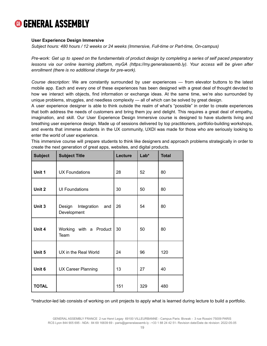#### **User Experience Design Immersive**

*Subject hours: 480 hours / 12 weeks or 24 weeks (Immersive, Full-time or Part-time, On-campus)*

Pre-work: Get up to speed on the fundamentals of product design by completing a series of self paced preparatory *lessons via our online learning platform, myGA (https://my.generalassemb.ly). Your access will be given after enrollment (there is no additional charge for pre-work).*

*Course description:* We are constantly surrounded by user experiences — from elevator buttons to the latest mobile app. Each and every one of these experiences has been designed with a great deal of thought devoted to how we interact with objects, find information or exchange ideas. At the same time, we're also surrounded by unique problems, struggles, and needless complexity — all of which can be solved by great design.

A user experience designer is able to think outside the realm of what's "possible" in order to create experiences that both address the needs of customers and bring them joy and delight. This requires a great deal of empathy, imagination, and skill. Our User Experience Design Immersive course is designed to have students living and breathing user experience design. Made up of sessions delivered by top practitioners, portfolio-building workshops, and events that immerse students in the UX community, UXDI was made for those who are seriously looking to enter the world of user experience.

| <b>Subject</b> | <b>Subject Title</b>                        | Lecture | $Lab*$ | <b>Total</b> |
|----------------|---------------------------------------------|---------|--------|--------------|
| Unit 1         | <b>UX Foundations</b>                       | 28      | 52     | 80           |
| Unit 2         | <b>UI Foundations</b>                       | 30      | 50     | 80           |
| Unit 3         | Design<br>Integration<br>and<br>Development | 26      | 54     | 80           |
| Unit 4         | Working with a Product<br>Team              | 30      | 50     | 80           |
| Unit 5         | UX in the Real World                        | 24      | 96     | 120          |
| Unit 6         | <b>UX Career Planning</b>                   | 13      | 27     | 40           |
| <b>TOTAL</b>   |                                             | 151     | 329    | 480          |

This immersive course will prepare students to think like designers and approach problems strategically in order to create the next generation of great apps, websites, and digital products.

\*Instructor-led lab consists of working on unit projects to apply what is learned during lecture to build a portfolio.

GENERAL ASSEMBLY FRANCE 2 rue Henri Legay 69100 VILLEURBANNE - Campus Paris: Bivwak - 3 rue Rossini 75009 PARIS RCS Lyon 844 905 695 - NDA : 84 69 16839 69 - [paris@generalassemb.ly](mailto:paris@generalassemb.ly) - +33 1 88 24 42 51- Revision date/Date de révision: 2022-05-05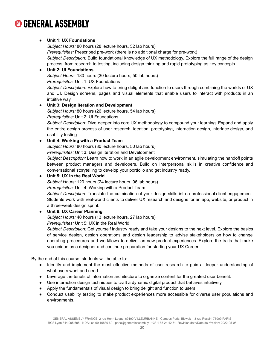#### ● **Unit 1: UX Foundations**

*Subject Hours:* 80 hours (28 lecture hours, 52 lab hours) *Prerequisites:* Prescribed pre-work (there is no additional charge for pre-work) *Subject Description:* Build foundational knowledge of UX methodology. Explore the full range of the design process, from research to testing, including design thinking and rapid prototyping as key concepts.

#### ● **Unit 2: UI Foundations**

*Subject Hours:* 180 hours (30 lecture hours, 50 lab hours) *Prerequisites:* Unit 1: UX Foundations

*Subject Description:* Explore how to bring delight and function to users through combining the worlds of UX and UI. Design screens, pages and visual elements that enable users to interact with products in an intuitive way

#### ● **Unit 3: Design Iteration and Development**

*Subject Hours:* 80 hours (26 lecture hours, 54 lab hours)

*Prerequisites:* Unit 2: UI Foundations

*Subject Description:* Dive deeper into core UX methodology to compound your learning. Expand and apply the entire design process of user research, ideation, prototyping, interaction design, interface design, and usability testing.

#### ● **Unit 4: Working with a Product Team**

*Subject Hours:* 80 hours (30 lecture hours, 50 lab hours)

*Prerequisites:* Unit 3: Design Iteration and Development

*Subject Description:* Learn how to work in an agile development environment, simulating the handoff points between product managers and developers. Build on interpersonal skills in creative confidence and conversational storytelling to develop your portfolio and get industry ready.

#### ● **Unit 5: UX in the Real World**

*Subject Hours:* 120 hours (24 lecture hours, 96 lab hours)

*Prerequisites:* Unit 4: Working with a Product Team

*Subject Description:* Translate the culmination of your design skills into a professional client engagement. Students work with real-world clients to deliver UX research and designs for an app, website, or product in a three-week design sprint.

#### ● **Unit 6: UX Career Planning**

*Subject Hours:* 40 hours (13 lecture hours, 27 lab hours)

*Prerequisites:* Unit 5: UX in the Real World

*Subject Description:* Get yourself industry ready and take your designs to the next level. Explore the basics of service design, design operations and design leadership to advise stakeholders on how to change operating procedures and workflows to deliver on new product experiences. Explore the traits that make you unique as a designer and continue preparation for starting your UX Career.

By the end of this course, students will be able to:

- Identify and implement the most effective methods of user research to gain a deeper understanding of what users want and need.
- Leverage the tenets of information architecture to organize content for the greatest user benefit.
- Use interaction design techniques to craft a dynamic digital product that behaves intuitively.
- Apply the fundamentals of visual design to bring delight and function to users.
- Conduct usability testing to make product experiences more accessible for diverse user populations and environments.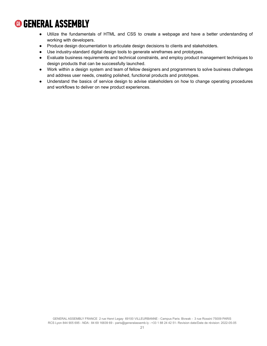- Utilize the fundamentals of HTML and CSS to create a webpage and have a better understanding of working with developers.
- Produce design documentation to articulate design decisions to clients and stakeholders.
- Use industry-standard digital design tools to generate wireframes and prototypes.
- Evaluate business requirements and technical constraints, and employ product management techniques to design products that can be successfully launched.
- Work within a design system and team of fellow designers and programmers to solve business challenges and address user needs, creating polished, functional products and prototypes.
- Understand the basics of service design to advise stakeholders on how to change operating procedures and workflows to deliver on new product experiences.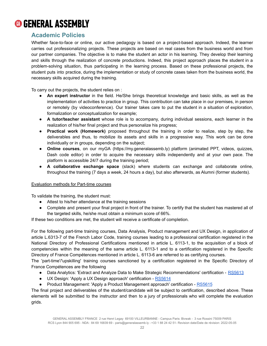

### <span id="page-22-0"></span>**Academic Policies**

Whether face-to-face or online, our active pedagogy is based on a project-based approach. Indeed, the learner carries out professionalizing projects. These projects are based on real cases from the business world and from our partner companies. The objective is to make the student an actor in his learning. They develop their learning and skills through the realization of concrete productions. Indeed, this project approach places the student in a problem-solving situation, thus participating in the learning process. Based on these professional projects, the student puts into practice, during the implementation or study of concrete cases taken from the business world, the necessary skills acquired during the training.

To carry out the projects, the student relies on :

- **An expert instructor** in the field. He/She brings theoretical knowledge and basic skills, as well as the implementation of activities to practice in group. This contribution can take place in our premises, in person or remotely (by videoconference). Our trainer takes care to put the student in a situation of exploration, formalization or conceptualization for example;
- **A tutor/teacher assistant** whose role is to accompany, during individual sessions, each learner in the realization of his/her final project and thus personalize his progress;
- **Practical work (Homework)** proposed throughout the training in order to realize, step by step, the deliverables and thus, to mobilize its assets and skills in a progressive way. This work can be done individually or in groups, depending on the subject;
- **Online courses**, on our myGA (https://my.generalassemb.ly) platform (animated PPT, videos, quizzes, Dash code editor) in order to acquire the necessary skills independently and at your own pace. The platform is accessible 24/7 during the training period;
- **A collaborative exchange space** (slack) where students can exchange and collaborate online, throughout the training (7 days a week, 24 hours a day), but also afterwards, as Alumni (former students).

#### Evaluation methods for Part-time courses

To validate the training, the student must:

- Attest to his/her attendance at the training sessions
- Complete and present your final project in front of the trainer. To certify that the student has mastered all of the targeted skills, he/she must obtain a minimum score of 66%.

If these two conditions are met, the student will receive a certificate of completion.

For the following part-time training courses, Data Analysis, Product management and UX Design, in application of article L.6313-7 of the French Labor Code, training courses leading to a professional certification registered in the National Directory of Professional Certifications mentioned in article L. 6113-1, to the acquisition of a block of competencies within the meaning of the same article L. 6113-1 and to a certification registered in the Specific Directory of France Compétences mentioned in article L. 6113-6 are referred to as certifying courses.

The 'part-time'/'upskilling' training courses sanctioned by a certification registered in the Specific Directory of France Compétences are the following

- Data Analytics: 'Extract and Analyze Data to Make Strategic Recommendations' certification [RS5613](https://www.francecompetences.fr/recherche/rs/5613/)
- UX Design: 'Apply a UX Design approach' certification [RS5614](https://www.francecompetences.fr/recherche/rs/5614/)
- Product Management: 'Apply a Product Management approach' certification [RS5615](https://www.francecompetences.fr/recherche/rs/5615/)

The final project and deliverables of the student/candidate will be subject to certification, described above. These elements will be submitted to the instructor and then to a jury of professionals who will complete the evaluation grids.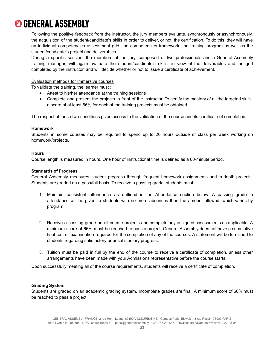Following the positive feedback from the instructor, the jury members evaluate, synchronously or asynchronously, the acquisition of the student/candidate's skills in order to deliver, or not, the certification. To do this, they will have an individual competencies assessment grid, the competencies framework, the training program as well as the student/candidate's project and deliverables.

During a specific session, the members of the jury, composed of two professionals and a General Assembly training manager, will again evaluate the student/candidate's skills, in view of the deliverables and the grid completed by the instructor, and will decide whether or not to issue a certificate of achievement.

#### Evaluation methods for Immersive courses

To validate the training, the learner must :

- Attest to his/her attendance at the training sessions
- Complete and present the projects in front of the instructor. To certify the mastery of all the targeted skills, a score of at least 66% for each of the training projects must be obtained.

The respect of these two conditions gives access to the validation of the course and its certificate of completion**.**

#### **Homework**

Students in some courses may be required to spend up to 20 hours outside of class per week working on homework/projects.

#### **Hours**

Course length is measured in hours. One hour of instructional time is defined as a 60-minute period.

#### **Standards of Progress**

General Assembly measures student progress through frequent homework assignments and in-depth projects. Students are graded on a pass/fail basis. To receive a passing grade, students must:

- 1. Maintain consistent attendance as outlined in the Attendance section below. A passing grade in attendance will be given to students with no more absences than the amount allowed, which varies by program.
- 2. Receive a passing grade on all course projects and complete any assigned assessments as applicable. A minimum score of 66% must be reached to pass a project. General Assembly does not have a cumulative final test or examination required for the completion of any of the courses. A statement will be furnished to students regarding satisfactory or unsatisfactory progress.
- 3. Tuition must be paid in full by the end of the course to receive a certificate of completion, unless other arrangements have been made with your Admissions representative before the course starts.

Upon successfully meeting all of the course requirements, students will receive a certificate of completion.

#### **Grading System**

Students are graded on an academic grading system. Incomplete grades are final. A minimum score of 66% must be reached to pass a project.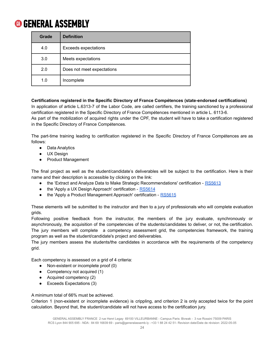| Grade | <b>Definition</b>          |
|-------|----------------------------|
| 4.0   | Exceeds expectations       |
| 3.0   | Meets expectations         |
| 2.0   | Does not meet expectations |
| 1.0   | Incomplete                 |

**Certifications registered in the Specific Directory of France Compétences (state-endorsed certifications)** In application of article L.6313-7 of the Labor Code, are called certifiers, the training sanctioned by a professional certification registered in the Specific Directory of France Compétences mentioned in article L. 6113-6. As part of the mobilization of acquired rights under the CPF, the student will have to take a certification registered in the Specific Directory of France Compétences.

The part-time training leading to certification registered in the Specific Directory of France Compétences are as follows:

- Data Analytics
- UX Design
- Product Management

The final project as well as the student/candidate's deliverables will be subject to the certification. Here is their name and their description is accessible by clicking on the link:

- the 'Extract and Analyze Data to Make Strategic Recommendations' certification [RS5613](https://www.francecompetences.fr/recherche/rs/5613/)
- the 'Apply a UX Design Approach' certification [RS5614](https://www.francecompetences.fr/recherche/rs/5614/)
- the 'Apply a Product Management Approach' certification [RS5615](https://www.francecompetences.fr/recherche/rs/5615/)

These elements will be submitted to the instructor and then to a jury of professionals who will complete evaluation grids.

Following positive feedback from the instructor, the members of the jury evaluate, synchronously or asynchronously, the acquisition of the competencies of the students/candidates to deliver, or not, the certification. The jury members will complete a competency assessment grid, the competencies framework, the training program as well as the student/candidate's project and deliverables.

The jury members assess the students/the candidates in accordance with the requirements of the competency grid.

Each competency is assessed on a grid of 4 criteria:

- Non-existent or incomplete proof (0)
- Competency not acquired (1)
- $\bullet$  Acquired competency (2)
- Exceeds Expectations (3)

A minimum total of 66% must be achieved.

Criterion 1 (non-existent or incomplete evidence) is crippling, and criterion 2 is only accepted twice for the point calculation. Beyond that, the student/candidate will not have access to the certification jury.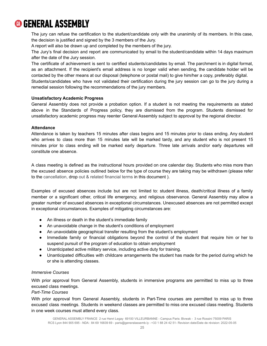The jury can refuse the certification to the student/candidate only with the unanimity of its members. In this case, the decision is justified and signed by the 3 members of the Jury.

A report will also be drawn up and completed by the members of the jury.

The Jury's final decision and report are communicated by email to the student/candidate within 14 days maximum after the date of the Jury session.

The certificate of achievement is sent to certified students/candidates by email. The parchment is in digital format, as an attachment. If the recipient's email address is no longer valid when sending, the candidate holder will be contacted by the other means at our disposal (telephone or postal mail) to give him/her a copy, preferably digital. Students/candidates who have not validated their certification during the jury session can go to the jury during a remedial session following the recommendations of the jury members.

#### **Unsatisfactory Academic Progress**

General Assembly does not provide a probation option. If a student is not meeting the requirements as stated above in the Standards of Progress policy, they are dismissed from the program. Students dismissed for unsatisfactory academic progress may reenter General Assembly subject to approval by the regional director.

#### **Attendance**

Attendance is taken by teachers 15 minutes after class begins and 15 minutes prior to class ending. Any student who arrives to class more than 15 minutes late will be marked tardy, and any student who is not present 15 minutes prior to class ending will be marked early departure. Three late arrivals and/or early departures will constitute one absence.

A class meeting is defined as the instructional hours provided on one calendar day. Students who miss more than the excused absence policies outlined below for the type of course they are taking may be withdrawn (please refer to the cancellation, drop out & related financial terms in this document ).

Examples of excused absences include but are not limited to: student illness, death/critical illness of a family member or a significant other, critical life emergency, and religious observance. General Assembly may allow a greater number of excused absences in exceptional circumstances. Unexcused absences are not permitted except in exceptional circumstances. Examples of mitigating circumstances are:

- An illness or death in the student's immediate family
- An unavoidable change in the student's conditions of employment
- An unavoidable geographical transfer resulting from the student's employment
- Immediate family or financial obligations beyond the control of the student that require him or her to suspend pursuit of the program of education to obtain employment
- Unanticipated active military service, including active duty for training.
- Unanticipated difficulties with childcare arrangements the student has made for the period during which he or she is attending classes.

#### *Immersive Courses*

With prior approval from General Assembly, students in immersive programs are permitted to miss up to three excused class meetings.

#### *Part-Time Courses*

With prior approval from General Assembly, students in Part-Time courses are permitted to miss up to three excused class meetings. Students in weekend classes are permitted to miss one excused class meeting. Students in one week courses must attend every class.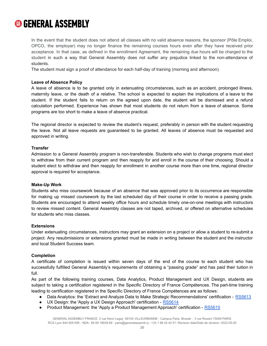In the event that the student does not attend all classes with no valid absence reasons, the sponsor (Pôle Emploi, OPCO, the employer) may no longer finance the remaining courses hours even after they have received prior acceptance. In that case, as defined in the enrollment Agreement, the remaining due hours will be charged to the student in such a way that General Assembly does not suffer any prejudice linked to the non-attendance of students.

The student must sign a proof of attendance for each half-day of training (morning and afternoon).

#### **Leave of Absence Policy**

A leave of absence is to be granted only in extenuating circumstances, such as an accident, prolonged illness, maternity leave, or the death of a relative. The school is expected to explain the implications of a leave to the student. If the student fails to return on the agreed upon date, the student will be dismissed and a refund calculation performed. Experience has shown that most students do not return from a leave of absence. Some programs are too short to make a leave of absence practical.

The regional director is expected to review the student's request, preferably in person with the student requesting the leave. Not all leave requests are guaranteed to be granted. All leaves of absence must be requested and approved in writing.

#### **Transfer**

Admission to a General Assembly program is non-transferable. Students who wish to change programs must elect to withdraw from their current program and then reapply for and enroll in the course of their choosing. Should a student elect to withdraw and then reapply for enrollment in another course more than one time, regional director approval is required for acceptance.

#### **Make-Up Work**

Students who miss coursework because of an absence that was approved prior to its occurrence are responsible for making up missed coursework by the last scheduled day of their course in order to receive a passing grade. Students are encouraged to attend weekly office hours and schedule timely one-on-one meetings with instructors to review missed content. General Assembly classes are not taped, archived, or offered on alternative schedules for students who miss classes.

#### **Extensions**

Under extenuating circumstances, instructors may grant an extension on a project or allow a student to re-submit a project. Any resubmissions or extensions granted must be made in writing between the student and the instructor and local Student Success team.

#### **Completion**

A certificate of completion is issued within seven days of the end of the course to each student who has successfully fulfilled General Assembly's requirements of obtaining a "passing grade" and has paid their tuition in full.

As part of the following training courses, Data Analytics, Product Management and UX Design, students are subject to taking a certification registered in the Specific Directory of France Compétences. The part-time training leading to certification registered in the Specific Directory of France Compétences are as follows:

- Data Analytics: the 'Extract and Analyze Data to Make Strategic Recommendations' certification [RS5613](https://www.francecompetences.fr/recherche/rs/5613/)
- UX Design: the 'Apply a UX Design Approach' certification [RS5614](https://www.francecompetences.fr/recherche/rs/5614/)
- Product Management: the 'Apply a Product Management Approach' certification [RS5615](https://www.francecompetences.fr/recherche/rs/5615/)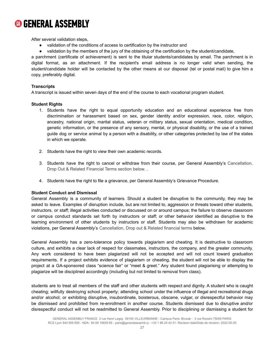After several validation steps,

- validation of the conditions of access to certification by the instructor and
- validation by the members of the jury of the obtaining of the certification by the student/candidate,

a parchment (certificate of achievement) is sent to the titular students/candidates by email. The parchment is in digital format, as an attachment. If the recipient's email address is no longer valid when sending, the student/candidate holder will be contacted by the other means at our disposal (tel or postal mail) to give him a copy, preferably digital.

#### **Transcripts**

A transcript is issued within seven days of the end of the course to each vocational program student.

#### **Student Rights**

- 1. Students have the right to equal opportunity education and an educational experience free from discrimination or harassment based on sex, gender identity and/or expression, race, color, religion, ancestry, national origin, marital status, veteran or military status, sexual orientation, medical condition, genetic information, or the presence of any sensory, mental, or physical disability, or the use of a trained guide dog or service animal by a person with a disability, or other categories protected by law of the states in which we operate.
- 2. Students have the right to view their own academic records.
- 3. Students have the right to cancel or withdraw from their course, per General Assembly's Cancellation, Drop Out & Related Financial Terms section below. .
- 4. Students have the right to file a grievance, per General Assembly's Grievance Procedure.

#### **Student Conduct and Dismissal**

General Assembly is a community of learners. Should a student be disruptive to the community, they may be asked to leave. Examples of disruption include, but are not limited to, aggression or threats toward other students, instructors, or staff; illegal activities conducted or discussed on or around campus; the failure to observe classroom or campus conduct standards set forth by instructors or staff; or other behavior identified as disruptive to the learning environment of other students by instructors or staff. Students may also be withdrawn for academic violations, per General Assembly's Cancellation, Drop out & Related financial terms below.

General Assembly has a zero-tolerance policy towards plagiarism and cheating. It is destructive to classroom culture, and exhibits a clear lack of respect for classmates, instructors, the company, and the greater community. Any work considered to have been plagiarized will not be accepted and will not count toward graduation requirements. If a project exhibits evidence of plagiarism or cheating, the student will not be able to display the project at a GA-sponsored class "science fair" or "meet & greet." Any student found plagiarising or attempting to plagiarize will be disciplined accordingly (including but not limited to removal from class).

students are to treat all members of the staff and other students with respect and dignity. A student who is caught cheating; willfully destroying school property; attending school under the influence of illegal and recreational drugs and/or alcohol; or exhibiting disruptive, insubordinate, boisterous, obscene, vulgar, or disrespectful behavior may be dismissed and prohibited from re-enrollment in another course. Students dismissed due to disruptive and/or disrespectful conduct will not be readmitted to General Assembly. Prior to disciplining or dismissing a student for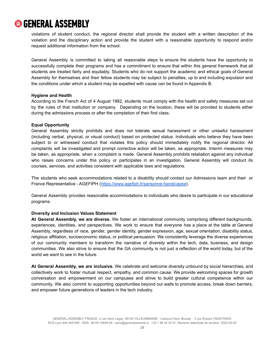violations of student conduct, the regional director shall provide the student with a written description of the violation and the disciplinary action and provide the student with a reasonable opportunity to respond and/or request additional information from the school.

General Assembly is committed to taking all reasonable steps to ensure the students have the opportunity to successfully complete their programs and has a commitment to ensure that within this general framework that all students are treated fairly and equitably. Students who do not support the academic and ethical goals of General Assembly for themselves and their fellow students may be subject to penalties, up to and including expulsion and the conditions under which a student may be expelled with cause can be found in Appendix B.

#### **Hygiene and Health**

According to the French Act of 4 August 1982, students must comply with the health and safety measures set out by the rules of that institution or company. Depending on the location, these will be provided to students either during the admissions process or after the completion of their first class.

#### **Equal Opportunity**

General Assembly strictly prohibits and does not tolerate sexual harassment or other unlawful harassment (including verbal, physical, or visual conduct) based on protected status. Individuals who believe they have been subject to or witnessed conduct that violates this policy should immediately notify the regional director. All complaints will be investigated and prompt corrective action will be taken, as appropriate. Interim measures may be taken, as appropriate, when a complaint is made. General Assembly prohibits retaliation against any individual who raises concerns under this policy or participates in an investigation. General Assembly will conduct its courses, services, and activities consistent with applicable laws and regulations.

The students who seek accommodations related to a disability should contact our Admissions team and their or France Representative - AGEFIPH (<https://www.agefiph.fr/personne-handicapee>).

General Assembly provides reasonable accommodations to individuals who desire to participate in our educational programs.

#### **Diversity and Inclusion Values Statement**

**At General Assembly, we are diverse.** We foster an international community comprising different backgrounds, experiences, identities, and perspectives. We work to ensure that everyone has a place at the table at General Assembly, regardless of race, gender, gender identity, gender expression, age, sexual orientation, disability status, religious affiliation, socioeconomic status, or political persuasion. We consistently leverage the diverse experiences of our community members to transform the narrative of diversity within the tech, data, business, and design communities. We also strive to ensure that the GA community is not just a reflection of the world today, but of the world we want to see in the future.

**At General Assembly, we are inclusive.** We celebrate and welcome diversity unbound by social hierarchies, and collectively work to foster mutual respect, empathy, and common cause. We provide welcoming spaces for growth conversation and empowerment on our campuses and strive to build greater cultural competence within our community. We also commit to supporting opportunities beyond our walls to promote access, break down barriers, and empower future generations of leaders in the tech industry.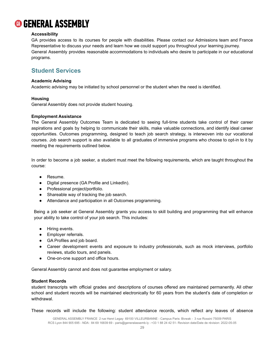#### **Accessibility**

GA provides access to its courses for people with disabilities. Please contact our Admissions team and France Representative to discuss your needs and learn how we could support you throughout your learning journey. General Assembly provides reasonable accommodations to individuals who desire to participate in our educational programs.

### <span id="page-29-0"></span>**Student Services**

#### **Academic Advising**

Academic advising may be initiated by school personnel or the student when the need is identified.

#### **Housing**

General Assembly does not provide student housing.

#### **Employment Assistance**

The General Assembly Outcomes Team is dedicated to seeing full-time students take control of their career aspirations and goals by helping to communicate their skills, make valuable connections, and identify ideal career opportunities. Outcomes programming, designed to teach job search strategy, is interwoven into our vocational courses. Job search support is also available to all graduates of immersive programs who choose to opt-in to it by meeting the requirements outlined below.

In order to become a job seeker, a student must meet the following requirements, which are taught throughout the course:

- Resume.
- Digital presence (GA Profile and LinkedIn).
- Professional project/portfolio.
- Shareable way of tracking the job search.
- Attendance and participation in all Outcomes programming.

Being a job seeker at General Assembly grants you access to skill building and programming that will enhance your ability to take control of your job search. This includes:

- Hiring events.
- Employer referrals.
- GA Profiles and job board.
- Career development events and exposure to industry professionals, such as mock interviews, portfolio reviews, studio tours, and panels.
- One-on-one support and office hours.

General Assembly cannot and does not guarantee employment or salary.

#### **Student Records**

student transcripts with official grades and descriptions of courses offered are maintained permanently. All other school and student records will be maintained electronically for 60 years from the student's date of completion or withdrawal.

These records will include the following: student attendance records, which reflect any leaves of absence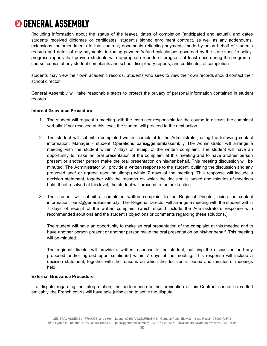(including information about the status of the leave), dates of completion (anticipated and actual), and dates students received diplomas or certificates; student's signed enrollment contract, as well as any addendums, extensions, or amendments to that contract; documents reflecting payments made by or on behalf of students records and dates of any payments, including payment/refund calculations governed by the state-specific policy; progress reports that provide students with appropriate reports of progress at least once during the program or course; copies of any student complaints and school disciplinary reports; and certificates of completion.

students may view their own academic records. Students who seek to view their own records should contact their school director.

General Assembly will take reasonable steps to protect the privacy of personal information contained in student records

#### **Internal Grievance Procedure**

- 1. The student will request a meeting with the Instructor responsible for the course to discuss the complaint verbally. If not resolved at this level, the student will proceed to the next action.
- 2. The student will submit a completed written complaint to the Administrator, using the following contact information: Manager - student Operations pari[s@generalassemb.ly](mailto:toronto@generalassemb.ly) The Administrator will arrange a meeting with the student within 7 days of receipt of the written complaint. The student will have an opportunity to make an oral presentation of the complaint at this meeting and to have another person present or another person make the oral presentation on his/her behalf. This meeting discussion will be minuted. The Administrator will provide a written response to the student, outlining the discussion and any proposed and/ or agreed upon solution(s) within 7 days of the meeting. This response will include a decision statement, together with the reasons on which the decision is based and minutes of meetings held. If not resolved at this level, the student will proceed to the next action.
- 3. The student will submit a completed written complaint to the Regional Director, using the contact information: pari[s@generalassemb.ly.](mailto:gerry@generalassemb.ly) The Regional Director will arrange a meeting with the student within 7 days of receipt of the written complaint (which should include the Administrator's response with recommended solutions and the student's objections or comments regarding these solutions.)

The student will have an opportunity to make an oral presentation of the complaint at this meeting and to have another person present or another person make the oral presentation on his/her behalf. This meeting will be minuted.

The regional director will provide a written response to the student, outlining the discussion and any proposed and/or agreed upon solution(s) within 7 days of the meeting. This response will include a decision statement, together with the reasons on which the decision is based and minutes of meetings held.

#### **External Grievance Procedure**

If a dispute regarding the interpretation, the performance or the termination of this Contract cannot be settled amicably, the French courts will have sole jurisdiction to settle the dispute.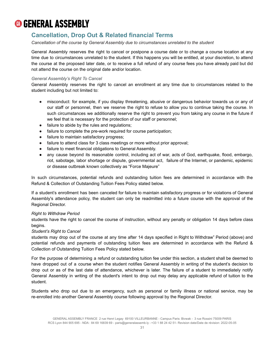### <span id="page-31-0"></span>**Cancellation, Drop Out & Related financial Terms**

*Cancellation of the course by General Assembly due to circumstances unrelated to the student*

General Assembly reserves the right to cancel or postpone a course date or to change a course location at any time due to circumstances unrelated to the student. If this happens you will be entitled, at your discretion, to attend the course at the proposed later date, or to receive a full refund of any course fees you have already paid but did not attend the course on the original date and/or location.

#### *General Assembly's Right To Cancel*

General Assembly reserves the right to cancel an enrollment at any time due to circumstances related to the student including but not limited to:

- *●* misconduct: for example, if you display threatening, abusive or dangerous behavior towards us or any of our staff or personnel, then we reserve the right to refuse to allow you to continue taking the course. In such circumstances we additionally reserve the right to prevent you from taking any course in the future if we feel that is necessary for the protection of our staff or personnel;
- *●* failure to abide by the rules and regulations;
- *●* failure to complete the pre-work required for course participation;
- *●* failure to maintain satisfactory progress;
- *●* failure to attend class for 3 class meetings or more without prior approval;
- *●* failure to meet financial obligations to General Assembly.
- any cause beyond its reasonable control, including act of war, acts of God, earthquake, flood, embargo, riot, sabotage, labor shortage or dispute, governmental act, failure of the Internet, or pandemic, epidemic or disease outbreak known collectively as "Force Majeure"

In such circumstances, potential refunds and outstanding tuition fees are determined in accordance with the Refund & Collection of Outstanding Tuition Fees Policy stated below.

If a student's enrollment has been canceled for failure to maintain satisfactory progress or for violations of General Assembly's attendance policy, the student can only be readmitted into a future course with the approval of the Regional Director.

#### *Right to Withdraw Period*

students have the right to cancel the course of instruction, without any penalty or obligation 14 days before class begins.

#### *Student's Right to Cancel*

students may drop out of the course at any time after 14 days specified in Right to Withdraw" Period (above) and potential refunds and payments of outstanding tuition fees are determined in accordance with the Refund & Collection of Outstanding Tuition Fees Policy stated below.

For the purpose of determining a refund or outstanding tuition fee under this section, a student shall be deemed to have dropped out of a course when the student notifies General Assembly in writing of the student's decision to drop out or as of the last date of attendance, whichever is later. The failure of a student to immediately notify General Assembly in writing of the student's intent to drop out may delay any applicable refund of tuition to the student.

Students who drop out due to an emergency, such as personal or family illness or national service, may be re-enrolled into another General Assembly course following approval by the Regional Director.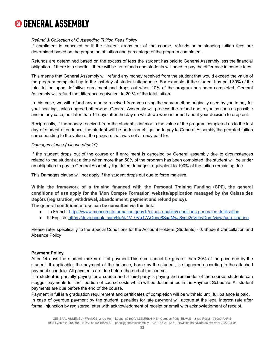#### *Refund & Collection of Outstanding Tuition Fees Policy*

If enrollment is canceled or if the student drops out of the course, refunds or outstanding tuition fees are determined based on the proportion of tuition and percentage of the program completed.

Refunds are determined based on the excess of fees the student has paid to General Assembly less the financial obligation. If there is a shortfall, there will be no refunds and students will need to pay the difference in course fees

This means that General Assembly will refund any money received from the student that would exceed the value of the program completed up to the last day of student attendance. For example, if the student has paid 30% of the total tuition upon definitive enrollment and drops out when 10% of the program has been completed, General Assembly will refund the difference equivalent to 20 % of the total tuition.

In this case, we will refund any money received from you using the same method originally used by you to pay for your booking, unless agreed otherwise. General Assembly will process the refund due to you as soon as possible and, in any case, not later than 14 days after the day on which we were informed about your decision to drop out.

Reciprocally, if the money received from the student is inferior to the value of the program completed up to the last day of student attendance, the student will be under an obligation to pay to General Assembly the prorated tuition corresponding to the value of the program that was not already paid for.

#### *Damages clause ("clause pénale")*

If the student drops out of the course or if enrollment is canceled by General assembly due to circumstances related to the student at a time when more than 50% of the program has been completed, the student will be under an obligation to pay to General Assembly liquidated damages equivalent to 100% of the tuition remaining due.

This Damages clause will not apply if the student drops out due to force majeure.

**Within the framework of a training financed with the Personal Training Funding (CPF), the general conditions of use apply for the 'Mon Compte Formation' website/application managed by the Caisse des Dépôts (registration, withdrawal, abandonment, payment and refund policy).**

**The general conditions of use can be consulted via this link:**

- In French: <https://www.moncompteformation.gouv.fr/espace-public/conditions-generales-dutilisation>
- In English: [https://drive.google.com/file/d/1V\\_0VgT7AOeno8SxaMwJ8ysn2sVpevDom/view?usp=sharing](https://drive.google.com/file/d/17_dVNpHZp123w3tlPme-DoymatDGWkuj/view?usp=sharing)

Please refer specifically to the Special Conditions for the Account Holders (Students) - 6. Student Cancellation and Absence Policy

#### **Payment Policy**

After 14 days the student makes a first payment.This sum cannot be greater than 30% of the price due by the student. If applicable, the payment of the balance, borne by the student, is staggered according to the attached payment schedule. All payments are due before the end of the course.

If a student is partially paying for a course and a third-party is paying the remainder of the course, students can stagger payments for their portion of course costs which will be documented in the Payment Schedule. All student payments are due before the end of the course.

Payment in full is a graduation requirement and certificates of completion will be withheld until full balance is paid. In case of overdue payment by the student, penalties for late payment will accrue at the legal interest rate after formal injunction by registered letter with acknowledgment of receipt or email with acknowledgment of receipt.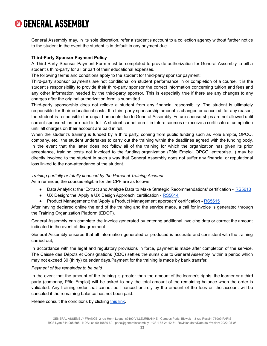General Assembly may, in its sole discretion, refer a student's account to a collection agency without further notice to the student in the event the student is in default in any payment due.

#### **Third-Party Sponsor Payment Policy**

A Third-Party Sponsor Payment Form must be completed to provide authorization for General Assembly to bill a student's third-party for all or part of their educational expenses.

The following terms and conditions apply to the student for third-party sponsor payment:

Third-party sponsor payments are not conditional on student performance in or completion of a course. It is the student's responsibility to provide their third-party sponsor the correct information concerning tuition and fees and any other information needed by the third-party sponsor. This is especially true if there are any changes to any charges after the original authorization form is submitted.

Third-party sponsorship does not relieve a student from any financial responsibility. The student is ultimately responsible for their educational costs. If a third-party sponsorship amount is changed or canceled, for any reason, the student is responsible for unpaid amounts due to General Assembly. Future sponsorships are not allowed until current sponsorships are paid in full. A student cannot enroll in future courses or receive a certificate of completion until all charges on their account are paid in full.

When the student's training is funded by a third party, coming from public funding such as Pôle Emploi, OPCO, company, etc., the student undertakes to carry out the training within the deadlines agreed with the funding body. In the event that the latter does not follow all of the training for which the organization has given its prior acceptance, training costs not invoiced to the funding organization (Pôle Emploi, OPCO, entreprise...) may be directly invoiced to the student in such a way that General Assembly does not suffer any financial or reputational loss linked to the non-attendance of the student.

#### *Training partially or totally financed by the Personal Training Account*

As a reminder, the courses eligible for the CPF are as follows:

- Data Analytics: the 'Extract and Analyze Data to Make Strategic Recommendations' certification [RS5613](https://www.francecompetences.fr/recherche/rs/5613/)
- UX Design: the 'Apply a UX Design Approach' certification [RS5614](https://www.francecompetences.fr/recherche/rs/5614/)
- Product Management: the 'Apply a Product Management approach' certification [RS5615](https://www.francecompetences.fr/recherche/rs/5615/)

After having declared online the end of the training and the service made, a call for invoice is generated through the Training Organization Platform (EDOF).

General Assembly can complete the invoice generated by entering additional invoicing data or correct the amount indicated in the event of disagreement.

General Assembly ensures that all information generated or produced is accurate and consistent with the training carried out,

In accordance with the legal and regulatory provisions in force, payment is made after completion of the service. The Caisse des Dépôts et Consignations (CDC) settles the sums due to General Assembly within a period which may not exceed 30 (thirty) calendar days.Payment for the training is made by bank transfer.

#### *Payment of the remainder to be paid*

In the event that the amount of the training is greater than the amount of the learner's rights, the learner or a third party (company, Pôle Emploi) will be asked to pay the total amount of the remaining balance when the order is validated. Any training order that cannot be financed entirely by the amount of the fees on the account will be canceled if the remaining balance has not been paid.

Please consult the conditions by clicking [this](https://drive.google.com/file/d/1V_0VgT7AOeno8SxaMwJ8ysn2sVpevDom/view?usp=sharing) link.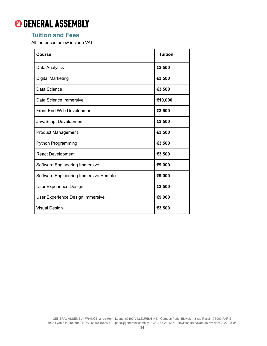### <span id="page-34-0"></span>**Tuition and Fees**

All the prices below include VAT.

| Course                                | <b>Tuition</b> |
|---------------------------------------|----------------|
| Data Analytics                        | €3,500         |
| <b>Digital Marketing</b>              | €3,500         |
| Data Science                          | €3,500         |
| Data Science Immersive                | €10,000        |
| Front-End Web Development             | €3,500         |
| JavaScript Development                | €3,500         |
| <b>Product Management</b>             | €3,500         |
| <b>Python Programming</b>             | €3,500         |
| <b>React Development</b>              | €3,500         |
| Software Engineering Immersive        | €9,000         |
| Software Engineering Immersive Remote | €9,000         |
| User Experience Design                | €3,500         |
| User Experience Design Immersive      | €9,000         |
| Visual Design                         | €3,500         |

GENERAL ASSEMBLY FRANCE 2 rue Henri Legay 69100 VILLEURBANNE - Campus Paris: Bivwak - 3 rue Rossini 75009 PARIS RCS Lyon 844 905 695 - NDA : 84 69 16839 69 - [paris@generalassemb.ly](mailto:paris@generalassemb.ly) - +33 1 88 24 42 51- Revision date/Date de révision: 2022-05-05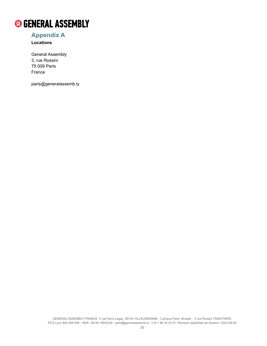

### <span id="page-35-0"></span>**Appendix A**

**Locations**

General Assembly 3, rue Rossini 75 009 Paris France

paris@generalassemb.ly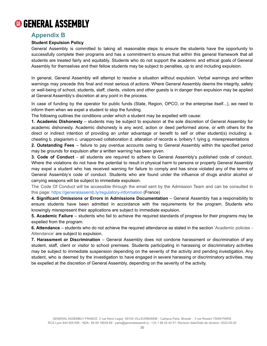### **Appendix B**

### **Student Expulsion Policy**

General Assembly is committed to taking all reasonable steps to ensure the students have the opportunity to successfully complete their programs and has a commitment to ensure that within this general framework that all students are treated fairly and equitably. Students who do not support the academic and ethical goals of General Assembly for themselves and their fellow students may be subject to penalties, up to and including expulsion.

In general, General Assembly will attempt to resolve a situation without expulsion. Verbal warnings and written warnings may precede this final and most serious of actions. Where General Assembly deems the integrity, safety or well-being of school, students, staff, clients, visitors and other guests is in danger then expulsion may be applied at General Assembly's discretion at any point in the process.

In case of funding by the operator for public funds (State, Region, OPCO, or the enterprise itself...), we need to inform them when we expel a student to stop the funding.

The following outlines the conditions under which a student may be expelled with cause:

**1. Academic Dishonesty** – students may be subject to expulsion at the sole discretion of General Assembly for academic dishonesty. Academic dishonesty is any word, action or deed performed alone, or with others for the direct or indirect intention of providing an unfair advantage or benefit to self or other student(s) including: a. cheating b. plagiarism c. unapproved collaboration d. alteration of records e. bribery f. lying g. misrepresentations

**2. Outstanding Fees** – failure to pay overdue accounts owing to General Assembly within the specified period may be grounds for expulsion after a written warning has been given.

**3. Code of Conduct** - all students are required to adhere to General Assembly's published code of conduct. Where the violations do not have the potential to result in physical harm to persons or property General Assembly may expel a student who has received warning for failure to comply and has since violated any of the terms of General Assembly's code of conduct. Students who are found under the influence of drugs and/or alcohol or carrying weapons will be subject to immediate expulsion.

The Code Of Conduct will be accessible through the email sent by the Admission Team and can be consulted in this page: <https://generalassemb.ly/regulatory-information> (France)

**4. Significant Omissions or Errors in Admissions Documentation** – General Assembly has a responsibility to ensure students have been admitted in accordance with the requirements for the program. Students who knowingly misrepresent their applications are subject to immediate expulsion.

**5. Academic Failure** – students who fail to achieve the required standards of progress for their programs may be expelled from the program.

**6. Attendance** – students who do not achieve the required attendance as stated in the section 'Academic policies - Attendance' are subject to expulsion.

**7. Harassment or Discrimination** – General Assembly does not condone harassment or discrimination of any student, staff, client or visitor to school premises. Students participating in harassing or discriminatory activities may be subject to immediate suspension depending on the severity of the activity and pending investigation. Any student, who is deemed by the investigation to have engaged in severe harassing or discriminatory activities, may be expelled at the discretion of General Assembly, depending on the severity of the activity.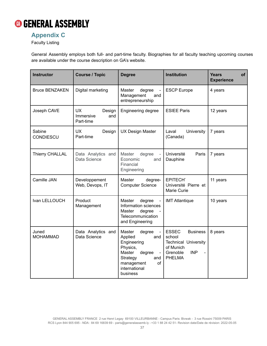

### **Appendix C**

Faculty Listing

General Assembly employs both full- and part-time faculty. Biographies for all faculty teaching upcoming courses are available under the course description on GA's website.

| <b>Instructor</b>          | <b>Course / Topic</b>                                | <b>Degree</b>                                                                                                                                                           | <b>Institution</b>                                                                                                               | <b>Years</b><br>of<br><b>Experience</b> |
|----------------------------|------------------------------------------------------|-------------------------------------------------------------------------------------------------------------------------------------------------------------------------|----------------------------------------------------------------------------------------------------------------------------------|-----------------------------------------|
| <b>Bruce BENZAKEN</b>      | Digital marketing                                    | Master<br>degree<br>Management<br>and<br>entrepreneurship                                                                                                               | <b>ESCP Europe</b>                                                                                                               | 4 years                                 |
| Joseph CAVE                | <b>UX</b><br>Design<br>Immersive<br>and<br>Part-time | Engineering degree                                                                                                                                                      | <b>ESIEE Paris</b>                                                                                                               | 12 years                                |
| Sabine<br><b>CONDIESCU</b> | <b>UX</b><br>Design<br>Part-time                     | <b>UX Design Master</b>                                                                                                                                                 | University<br>Laval<br>(Canada)                                                                                                  | 7 years                                 |
| Thierry CHALLAL            | Data Analytics and<br>Data Science                   | Master<br>degree<br>Economic<br>and<br>Financial<br>Engineering                                                                                                         | Université<br>Paris<br>Dauphine                                                                                                  | 7 years                                 |
| Camille JAN                | Developpement<br>Web, Devops, IT                     | Master<br>degree-<br><b>Computer Science</b>                                                                                                                            | <b>EPITECH'</b><br>Université Pierre et<br>Marie Curie                                                                           | 11 years                                |
| Ivan LELLOUCH              | Product<br>Management                                | <b>Master</b><br>degree<br>Information sciences<br><b>Master</b><br>degree<br>Telecommunication<br>and Engineering                                                      | <b>IMT Atlantique</b>                                                                                                            | 10 years                                |
| Juned<br><b>MOHAMMAD</b>   | Data Analytics and<br>Data Science                   | Master<br>degree<br>Applied<br>and<br>Engineering<br>Physics,<br>Master<br>degree<br>$\blacksquare$<br>Strategy<br>and<br>of<br>management<br>international<br>business | <b>ESSEC</b><br><b>Business</b><br>school<br><b>Technical University</b><br>of Munich<br><b>INP</b><br>Grenoble<br><b>PHELMA</b> | 8 years                                 |

GENERAL ASSEMBLY FRANCE 2 rue Henri Legay 69100 VILLEURBANNE - Campus Paris: Bivwak - 3 rue Rossini 75009 PARIS RCS Lyon 844 905 695 - NDA : 84 69 16839 69 - [paris@generalassemb.ly](mailto:paris@generalassemb.ly) - +33 1 88 24 42 51- Revision date/Date de révision: 2022-05-05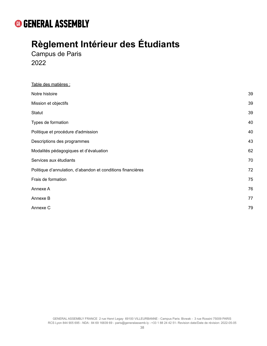# **Règlement Intérieur des Étudiants**

Campus de Paris 2022

| Table des matières :                                        |    |
|-------------------------------------------------------------|----|
| Notre histoire                                              | 39 |
| Mission et objectifs                                        | 39 |
| Statut                                                      | 39 |
| Types de formation                                          | 40 |
| Politique et procédure d'admission                          | 40 |
| Descriptions des programmes                                 | 43 |
| Modalités pédagogiques et d'évaluation                      | 62 |
| Services aux étudiants                                      | 70 |
| Politique d'annulation, d'abandon et conditions financières | 72 |
| Frais de formation                                          | 75 |
| Annexe A                                                    | 76 |
| Annexe B                                                    | 77 |
| Annexe C                                                    | 79 |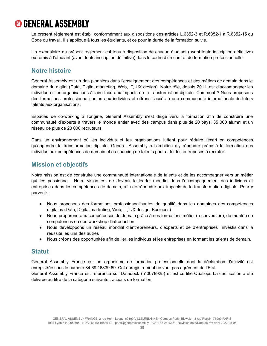Le présent règlement est établi conformément aux dispositions des articles L.6352-3 et R.6352-1 à R.6352-15 du Code du travail. Il s'applique à tous les étudiants, et ce pour la durée de la formation suivie.

Un exemplaire du présent règlement est tenu à disposition de chaque étudiant (avant toute inscription définitive) ou remis à l'étudiant (avant toute inscription définitive) dans le cadre d'un contrat de formation professionnelle.

### <span id="page-39-0"></span>**Notre histoire**

General Assembly est un des pionniers dans l'enseignement des compétences et des métiers de demain dans le domaine du digital (Data, Digital marketing, Web, IT, UX design). Notre rôle, depuis 2011, est d'accompagner les individus et les organisations à faire face aux impacts de la transformation digitale. Comment ? Nous proposons des formations professionnalisantes aux individus et offrons l'accès à une communauté internationale de futurs talents aux organisations.

Espaces de co-working à l'origine, General Assembly s'est dirigé vers la formation afin de construire une communauté d'experts à travers le monde entier avec des campus dans plus de 20 pays, 35 000 alumni et un réseau de plus de 20 000 recruteurs.

Dans un environnement où les individus et les organisations luttent pour réduire l'écart en compétences qu'engendre la transformation digitale, General Assembly a l'ambition d'y répondre grâce à la formation des individus aux compétences de demain et au sourcing de talents pour aider les entreprises à recruter.

### <span id="page-39-1"></span>**Mission et objectifs**

Notre mission est de construire une communauté internationale de talents et de les accompagner vers un métier qui les passionne. Notre vision est de devenir le leader mondial dans l'accompagnement des individus et entreprises dans les compétences de demain, afin de répondre aux impacts de la transformation digitale. Pour y parvenir :

- Nous proposons des formations professionnalisantes de qualité dans les domaines des compétences digitales (Data, Digital marketing, Web, IT, UX design, Business)
- Nous préparons aux compétences de demain grâce à nos formations métier (reconversion), de montée en compétences ou des workshop d'introduction
- Nous développons un réseau mondial d'entrepreneurs, d'experts et de d'entreprises investis dans la réussite les uns des autres
- Nous créons des opportunités afin de lier les individus et les entreprises en formant les talents de demain.

### <span id="page-39-2"></span>**Statut**

General Assembly France est un organisme de formation professionnelle dont la déclaration d'activité est enregistrée sous le numéro 84 69 16839 69. Cet enregistrement ne vaut pas agrément de l'Etat. General Assembly France est référencé sur Datadock (n°0078925) et est certifié Qualiopi. La certification a été délivrée au titre de la catégorie suivante : actions de formation.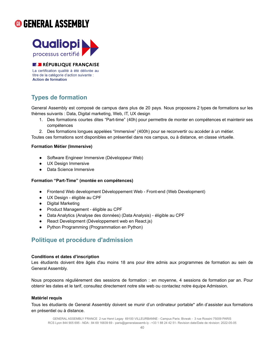



**BJ RÉPUBLIQUE FRANÇAISE** 

La certification qualité à été délivrée au titre de la catégorie d'action suivante : **Action de formation** 

### <span id="page-40-0"></span>**Types de formation**

General Assembly est composé de campus dans plus de 20 pays. Nous proposons 2 types de formations sur les thèmes suivants : Data, Digital marketing, Web, IT, UX design

- 1. Des formations courtes dites "Part-time" (40h) pour permettre de monter en compétences et maintenir ses compétences
- 2. Des formations longues appelées "Immersive" (400h) pour se reconvertir ou accéder à un métier.

Toutes ces formations sont disponibles en présentiel dans nos campus, ou à distance, en classe virtuelle.

### **Formation Métier (Immersive)**

- Software Engineer Immersive (Développeur Web)
- UX Design Immersive
- **Data Science Immersive**

### **Formation "Part-Time" (montée en compétences)**

- Frontend Web development Développement Web Front-end (Web Development)
- UX Design éligible au CPF
- Digital Marketing
- Product Management éligible au CPF
- Data Analytics (Analyse des données) (Data Analysis) éligible au CPF
- React Development (Développement web en React.js)
- Python Programming (Programmation en Python)

### <span id="page-40-1"></span>**Politique et procédure d'admission**

### **Conditions et dates d'inscription**

Les étudiants doivent être âgés d'au moins 18 ans pour être admis aux programmes de formation au sein de General Assembly.

Nous proposons régulièrement des sessions de formation : en moyenne, 4 sessions de formation par an. Pour obtenir les dates et le tarif, consultez directement notre site web ou contactez notre équipe Admission.

### **Matériel requis**

Tous les étudiants de General Assembly doivent se munir d'un ordinateur portable\* afin d'assister aux formations en présentiel ou à distance.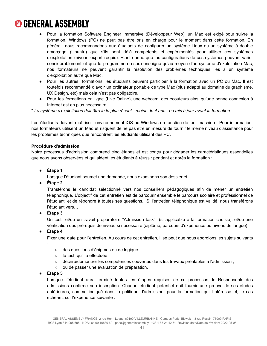- Pour la formation Software Engineer Immersive (Développeur Web), un Mac est exigé pour suivre la formation. Windows (PC) ne peut pas être pris en charge pour le moment dans cette formation. En général, nous recommandons aux étudiants de configurer un système Linux ou un système à double amorçage (Ubuntu) que s'ils sont déjà compétents et expérimentés pour utiliser ces systèmes d'exploitation (niveau expert requis). Étant donné que les configurations de ces systèmes peuvent varier considérablement et que le programme ne sera enseigné qu'au moyen d'un système d'exploitation Mac, nos formateurs ne peuvent garantir la résolution des problèmes techniques liés à un système d'exploitation autre que Mac.
- Pour les autres formations, les étudiants peuvent participer à la formation avec un PC ou Mac. Il est toutefois recommandé d'avoir un ordinateur portable de type Mac (plus adapté au domaine du graphisme, UX Design, etc) mais cela n'est pas obligatoire.
- Pour les formations en ligne (Live Online), une webcam, des écouteurs ainsi qu'une bonne connexion à Internet est en plus nécessaire.

\* Le système d'exploitation doit être le le plus récent - moins de 4 ans - ou mis à jour avant la formation

Les étudiants doivent maîtriser l'environnement iOS ou Windows en fonction de leur machine. Pour information, nos formateurs utilisent un Mac et risquent de ne pas être en mesure de fournir le même niveau d'assistance pour les problèmes techniques que rencontrent les étudiants utilisant des PC.

### **Procédure d'admission**

Notre processus d'admission comprend cinq étapes et est conçu pour dégager les caractéristiques essentielles que nous avons observées et qui aident les étudiants à réussir pendant et après la formation :

**● Étape 1**

Lorsque l'étudiant soumet une demande, nous examinons son dossier et...

**● Étape 2**

Transférons le candidat sélectionné vers nos conseillers pédagogiques afin de mener un entretien téléphonique. L'objectif de cet entretien est de parcourir ensemble le parcours scolaire et professionnel de l'étudiant, et de répondre à toutes ses questions. Si l'entretien téléphonique est validé, nous transférons l'étudiant vers…

**● Étape 3**

Un test et/ou un travail préparatoire "Admission task" (si applicable à la formation choisie), et/ou une vérification des prérequis de niveau si nécessaire (diplôme, parcours d'expérience ou niveau de langue).

### **● Étape 4**

Fixer une date pour l'entretien. Au cours de cet entretien, il se peut que nous abordions les sujets suivants

- :
	- des questions d'énigmes ou de logique ;
	- le test qu'il a effectuée ;
	- décrire/démontrer les compétences couvertes dans les travaux préalables à l'admission ;
	- ou de passer une évaluation de préparation.
- **● Étape 5**

Lorsque l'étudiant aura terminé toutes les étapes requises de ce processus, le Responsable des admissions confirme son inscription. Chaque étudiant potentiel doit fournir une preuve de ses études antérieures, comme indiqué dans la politique d'admission, pour la formation qui l'intéresse et, le cas échéant, sur l'expérience suivante :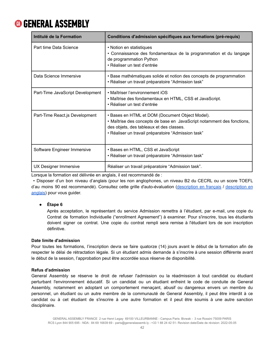| Intitulé de la Formation         | Conditions d'admission spécifiques aux formations (pré-requis)                                                                                                                                                               |
|----------------------------------|------------------------------------------------------------------------------------------------------------------------------------------------------------------------------------------------------------------------------|
| Part time Data Science           | • Notion en statistiques<br>• Connaissance des fondamentaux de la programmation et du langage<br>de programmation Python<br>• Réaliser un test d'entrée                                                                      |
| Data Science Immersive           | • Base mathématiques solide et notion des concepts de programmation<br>• Réaliser un travail préparatoire "Admission task"                                                                                                   |
| Part-Time JavaScript Development | • Maîtriser l'environnement iOS<br>• Maîtrise des fondamentaux en HTML, CSS et JavaScript.<br>• Réaliser un test d'entrée                                                                                                    |
| Part-Time React.js Development   | • Bases en HTML et DOM (Document Object Model).<br>• Maîtrise des concepts de base en JavaScript notamment des fonctions,<br>des objets, des tableaux et des classes.<br>• Réaliser un travail préparatoire "Admission task" |
| Software Engineer Immersive      | • Bases en HTML, CSS et JavaScript<br>• Réaliser un travail préparatoire "Admission task"                                                                                                                                    |
| UX Designer Immersive            | Réaliser un travail préparatoire "Admission task".                                                                                                                                                                           |

Lorsque la formation est délivrée en anglais, il est recommandé de :

• Disposer d'un bon niveau d'anglais (pour les non anglophones, un niveau B2 du CECRL ou un score TOEFL d'au moins 90 est recommandé). Consultez cette grille d'auto-évaluation [\(description](https://rm.coe.int/CoERMPublicCommonSearchServices/DisplayDCTMContent?documentId=090000168045bb57) en français / [description](https://rm.coe.int/CoERMPublicCommonSearchServices/DisplayDCTMContent?documentId=090000168045bb52) en [anglais\)](https://rm.coe.int/CoERMPublicCommonSearchServices/DisplayDCTMContent?documentId=090000168045bb52) pour vous guider.

### **● Étape 6**

Après acceptation, le représentant du service Admission remettra à l'étudiant, par e-mail, une copie du Contrat de formation Individuelle ("enrollment Agreement") à examiner. Pour s'inscrire, tous les étudiants doivent signer ce contrat. Une copie du contrat rempli sera remise à l'étudiant lors de son inscription définitive.

### **Date limite d'admission**

Pour toutes les formations, l'inscription devra se faire quatorze (14) jours avant le début de la formation afin de respecter le délai de rétractation légale. Si un étudiant admis demande à s'inscrire à une session différente avant le début de la session, l'approbation peut être accordée sous réserve de disponibilité.

### **Refus d'admission**

General Assembly se réserve le droit de refuser l'admission ou la réadmission à tout candidat ou étudiant perturbant l'environnement éducatif. Si un candidat ou un étudiant enfreint le code de conduite de General Assembly, notamment en adoptant un comportement menaçant, abusif ou dangereux envers un membre du personnel, un étudiant ou un autre membre de la communauté de General Assembly, il peut être interdit à ce candidat ou à cet étudiant de s'inscrire à une autre formation et il peut être soumis à une autre sanction disciplinaire.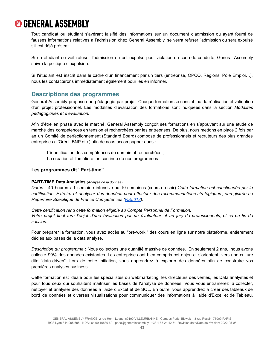Tout candidat ou étudiant s'avérant falsifié des informations sur un document d'admission ou ayant fourni de fausses informations relatives à l'admission chez General Assembly, se verra refuser l'admission ou sera expulsé s'il est déjà présent.

Si un étudiant se voit refuser l'admission ou est expulsé pour violation du code de conduite, General Assembly suivra la politique d'expulsion.

Si l'étudiant est inscrit dans le cadre d'un financement par un tiers (entreprise, OPCO, Régions, Pôle Emploi…), nous les contacterons immédiatement également pour les en informer.

### <span id="page-43-0"></span>**Descriptions des programmes**

General Assembly propose une pédagogie par projet. Chaque formation se conclut par la réalisation et validation d'un projet professionnel. Les modalités d'évaluation des formations sont indiquées dans la section *Modalités pédagogiques et d'évaluation.*

Afin d'être en phase avec le marché, General Assembly conçoit ses formations en s'appuyant sur une étude de marché des compétences en tension et recherchées par les entreprises. De plus, nous mettons en place 2 fois par an un Comité de perfectionnement (Standard Board) composé de professionnels et recruteurs des plus grandes entreprises (L'Oréal, BNP etc.) afin de nous accompagner dans :

- L'identification des compétences de demain et recherchées ;
- La création et l'amélioration continue de nos programmes.

### **Les programmes dit "Part-time"**

### **PART-TIME Data Analytics (***Analyse de la donnée***)**

*Durée :* 40 heures / 1 semaine intensive ou 10 semaines (cours du soir) *Cette formation est sanctionnée par la certification 'Extraire et analyser des données pour effectuer des recommandations stratégiques', enregistrée au Répertoire Spécifique de France Compétences [\(RS5613\)](https://www.francecompetences.fr/recherche/rs/5613/).*

*Cette certification rend cette formation éligible au Compte Personnel de Formation.* Votre projet final fera l'objet d'une évaluation par un évaluateur et un jury de professionnels, et ce en fin de *session.*

Pour préparer la formation, vous avez accès au "pre-work," des cours en ligne sur notre plateforme, entièrement dédiés aux bases de la data analyse.

*Description du programme* : Nous collectons une quantité massive de données. En seulement 2 ans, nous avons collecté 90% des données existantes. Les entreprises ont bien compris cet enjeu et s'orientent vers une culture dite "data-driven". Lors de cette initiation, vous apprendrez à explorer des données afin de construire vos premières analyses business.

Cette formation est idéale pour les spécialistes du webmarketing, les directeurs des ventes, les Data analystes et pour tous ceux qui souhaitent maîtriser les bases de l'analyse de données. Vous vous entraînerez à collecter, nettoyer et analyser des données à l'aide d'Excel et de SQL. En outre, vous apprendrez à créer des tableaux de bord de données et diverses visualisations pour communiquer des informations à l'aide d'Excel et de Tableau.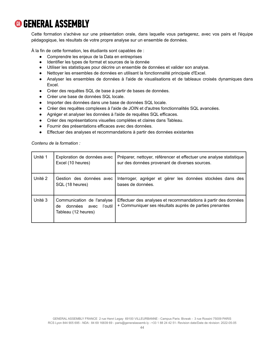Cette formation s'achève sur une présentation orale, dans laquelle vous partagerez, avec vos pairs et l'équipe pédagogique, les résultats de votre propre analyse sur un ensemble de données.

À la fin de cette formation, les étudiants sont capables de :

- Comprendre les enjeux de la Data en entreprises
- Identifier les types de format et sources de la donnée
- Utiliser les statistiques pour décrire un ensemble de données et valider son analyse.
- Nettoyer les ensembles de données en utilisant la fonctionnalité principale d'Excel.
- Analyser les ensembles de données à l'aide de visualisations et de tableaux croisés dynamiques dans Excel.
- Créer des requêtes SQL de base à partir de bases de données.
- Créer une base de données SQL locale.
- Importer des données dans une base de données SQL locale.
- Créer des requêtes complexes à l'aide de JOIN et d'autres fonctionnalités SQL avancées.
- Agréger et analyser les données à l'aide de requêtes SQL efficaces.
- Créer des représentations visuelles complètes et claires dans Tableau.
- Fournir des présentations efficaces avec des données.
- Effectuer des analyses et recommandations à partir des données existantes

*Contenu de la formation :*

| Unité 1 | Exploration de données avec<br>Excel (10 heures)                                      | Préparer, nettoyer, référencer et effectuer une analyse statistique<br>sur des données provenant de diverses sources.     |
|---------|---------------------------------------------------------------------------------------|---------------------------------------------------------------------------------------------------------------------------|
| Unité 2 | Gestion des données avec<br>SQL (18 heures)                                           | Interroger, agréger et gérer les données stockées dans des<br>bases de données.                                           |
| Unité 3 | Communication de l'analyse<br>données<br>l'outil<br>avec<br>de<br>Tableau (12 heures) | Effectuer des analyses et recommandations à partir des données<br>+ Communiquer ses résultats auprès de parties prenantes |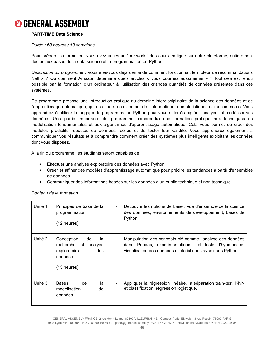

### **PART-TIME Data Science**

#### *Durée : 60 heures / 10 semaines*

Pour préparer la formation, vous avez accès au "pre-work," des cours en ligne sur notre plateforme, entièrement dédiés aux bases de la data science et la programmation en Python.

*Description du programme :* Vous êtes-vous déjà demandé comment fonctionnait le moteur de recommandations Netflix ? Ou comment Amazon détermine quels articles « vous pourriez aussi aimer » ? Tout cela est rendu possible par la formation d'un ordinateur à l'utilisation des grandes quantités de données présentes dans ces systèmes.

Ce programme propose une introduction pratique au domaine interdisciplinaire de la science des données et de l'apprentissage automatique, qui se situe au croisement de l'informatique, des statistiques et du commerce. Vous apprendrez à utiliser le langage de programmation Python pour vous aider à acquérir, analyser et modéliser vos données. Une partie importante du programme comprendra une formation pratique aux techniques de modélisation fondamentales et aux algorithmes d'apprentissage automatique. Cela vous permet de créer des modèles prédictifs robustes de données réelles et de tester leur validité. Vous apprendrez également à communiquer vos résultats et à comprendre comment créer des systèmes plus intelligents exploitant les données dont vous disposez.

À la fin du programme, les étudiants seront capables de :

- Effectuer une analyse exploratoire des données avec Python.
- Créer et affiner des modèles d'apprentissage automatique pour prédire les tendances à partir d'ensembles de données.
- Communiquer des informations basées sur les données à un public technique et non technique.

| Unité 1 | Principes de base de la<br>programmation<br>$(12 \text{ hours})$                                            | Découvrir les notions de base : vue d'ensemble de la science<br>$\blacksquare$<br>des données, environnements de développement, bases de<br>Python.                              |
|---------|-------------------------------------------------------------------------------------------------------------|----------------------------------------------------------------------------------------------------------------------------------------------------------------------------------|
| Unité 2 | Conception<br>de<br>la<br>recherche et<br>analyse<br>exploratoire<br>des<br>données<br>$(15 \text{ hours})$ | Manipulation des concepts clé comme l'analyse des données<br>dans Pandas, expérimentations et tests d'hypothèses,<br>visualisation des données et statistiques avec dans Python. |
| Unité 3 | <b>Bases</b><br>de<br>la<br>modélisation<br>de<br>données                                                   | Appliquer la régression linéaire, la séparation train-test, KNN<br>et classification, régression logistique.                                                                     |

#### *Contenu de la formation :*

GENERAL ASSEMBLY FRANCE 2 rue Henri Legay 69100 VILLEURBANNE - Campus Paris: Bivwak - 3 rue Rossini 75009 PARIS RCS Lyon 844 905 695 - NDA : 84 69 16839 69 - [paris@generalassemb.ly](mailto:paris@generalassemb.ly) - +33 1 88 24 42 51- Revision date/Date de révision: 2022-05-05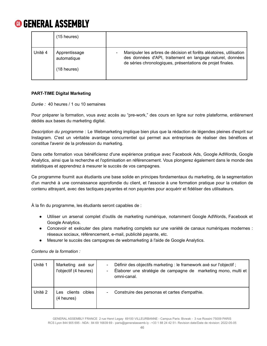|         | $(15$ heures)                                        |                                                                                                                                                                                                                           |
|---------|------------------------------------------------------|---------------------------------------------------------------------------------------------------------------------------------------------------------------------------------------------------------------------------|
| Unité 4 | Apprentissage<br>automatique<br>$(18 \text{ hours})$ | Manipuler les arbres de décision et forêts aléatoires, utilisation<br>$\overline{\phantom{0}}$<br>des données d'API, traitement en langage naturel, données<br>de séries chronologiques, présentations de projet finales. |

### **PART-TIME Digital Marketing**

*Durée :* 40 heures / 1 ou 10 semaines

Pour préparer la formation, vous avez accès au "pre-work," des cours en ligne sur notre plateforme, entièrement dédiés aux bases du marketing digital.

*Description du programme* : Le Webmarketing implique bien plus que la rédaction de légendes pleines d'esprit sur Instagram. C'est un véritable avantage concurrentiel qui permet aux entreprises de réaliser des bénéfices et constitue l'avenir de la profession du marketing.

Dans cette formation vous bénéficierez d'une expérience pratique avec Facebook Ads, Google AdWords, Google Analytics, ainsi que la recherche et l'optimisation en référencement. Vous plongerez également dans le monde des statistiques et apprendrez à mesurer le succès de vos campagnes.

Ce programme fournit aux étudiants une base solide en principes fondamentaux du marketing, de la segmentation d'un marché à une connaissance approfondie du client, et l'associe à une formation pratique pour la création de contenu attrayant, avec des tactiques payantes et non payantes pour acquérir et fidéliser des utilisateurs.

À la fin du programme, les étudiants seront capables de :

- Utiliser un arsenal complet d'outils de marketing numérique, notamment Google AdWords, Facebook et Google Analytics.
- Concevoir et exécuter des plans marketing complets sur une variété de canaux numériques modernes : réseaux sociaux, référencement, e-mail, publicité payante, etc.
- Mesurer le succès des campagnes de webmarketing à l'aide de Google Analytics.

*Contenu de la formation :*

| Unité 1 | Marketing axé sur<br>l'objectif (4 heures) | Définir des objectifs marketing : le framework axé sur l'objectif ;<br>Élaborer une stratégie de campagne de marketing mono, multi et<br>omni-canal. |
|---------|--------------------------------------------|------------------------------------------------------------------------------------------------------------------------------------------------------|
| Unité 2 | Les clients cibles<br>(4 heures)           | Construire des personas et cartes d'empathie.                                                                                                        |

GENERAL ASSEMBLY FRANCE 2 rue Henri Legay 69100 VILLEURBANNE - Campus Paris: Bivwak - 3 rue Rossini 75009 PARIS RCS Lyon 844 905 695 - NDA : 84 69 16839 69 - [paris@generalassemb.ly](mailto:paris@generalassemb.ly) - +33 1 88 24 42 51- Revision date/Date de révision: 2022-05-05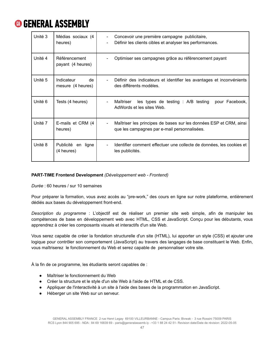| Unité 3 | Médias sociaux (4<br>heures)           | Concevoir une première campagne publicitaire,<br>$\overline{\phantom{a}}$<br>Définir les clients cibles et analyser les performances.<br>$\blacksquare$ |
|---------|----------------------------------------|---------------------------------------------------------------------------------------------------------------------------------------------------------|
| Unité 4 | Référencement<br>payant (4 heures)     | Optimiser ses campagnes grâce au référencement payant                                                                                                   |
| Unité 5 | Indicateur<br>de.<br>mesure (4 heures) | Définir des indicateurs et identifier les avantages et inconvénients<br>des différents modèles.                                                         |
| Unité 6 | Tests (4 heures)                       | les types de testing : A/B testing pour Facebook,<br>Maîtriser<br>AdWords et les sites Web.                                                             |
| Unité 7 | E-mails et CRM (4<br>heures)           | Maîtriser les principes de bases sur les données ESP et CRM, ainsi<br>que les campagnes par e-mail personnalisées.                                      |
| Unité 8 | Publicité en<br>ligne<br>(4 heures)    | Identifier comment effectuer une collecte de données, les cookies et<br>les publicités.                                                                 |

### **PART-TIME Frontend Development** *(Développement web - Frontend)*

*Durée* : 60 heures / sur 10 semaines

Pour préparer la formation, vous avez accès au "pre-work," des cours en ligne sur notre plateforme, entièrement dédiés aux bases du développement front-end.

*Description du programme* : L'objectif est de réaliser un premier site web simple, afin de manipuler les compétences de base en développement web avec HTML, CSS et JavaScript. Conçu pour les débutants, vous apprendrez à créer les composants visuels et interactifs d'un site Web.

Vous serez capable de créer la fondation structurelle d'un site (HTML), lui apporter un style (CSS) et ajouter une logique pour contrôler son comportement (JavaScript) au travers des langages de base constituant le Web. Enfin, vous maîtriserez le fonctionnement du Web et serez capable de personnaliser votre site.

À la fin de ce programme, les étudiants seront capables de :

- Maîtriser le fonctionnement du Web
- Créer la structure et le style d'un site Web à l'aide de HTML et de CSS.
- Appliquer de l'interactivité à un site à l'aide des bases de la programmation en JavaScript.
- Héberger un site Web sur un serveur.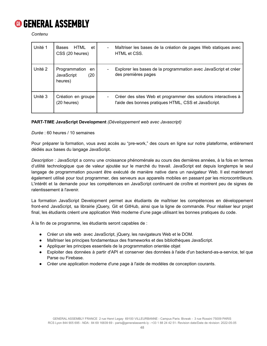

*Contenu*

| Unité 1 | HTML<br>Bases<br>et<br>CSS (20 heures)               | Maîtriser les bases de la création de pages Web statiques avec<br>$\blacksquare$<br>HTML et CSS.                       |
|---------|------------------------------------------------------|------------------------------------------------------------------------------------------------------------------------|
| Unité 2 | Programmation<br>en<br>(20)<br>JavaScript<br>heures) | Explorer les bases de la programmation avec JavaScript et créer<br>des premières pages                                 |
| Unité 3 | Création en groupe<br>(20 heures)                    | Créer des sites Web et programmer des solutions interactives à<br>l'aide des bonnes pratiques HTML, CSS et JavaScript. |

### **PART-TIME JavaScript Development** *(Développement web avec Javascript)*

*Durée* : 60 heures / 10 semaines

Pour préparer la formation, vous avez accès au "pre-work," des cours en ligne sur notre plateforme, entièrement dédiés aux bases du langage JavaScript.

*Description* : JavaScript a connu une croissance phénoménale au cours des dernières années, à la fois en termes d'utilité technologique que de valeur ajoutée sur le marché du travail. JavaScript est depuis longtemps le seul langage de programmation pouvant être exécuté de manière native dans un navigateur Web. Il est maintenant également utilisé pour tout programmer, des serveurs aux appareils mobiles en passant par les microcontrôleurs. L'intérêt et la demande pour les compétences en JavaScript continuent de croître et montrent peu de signes de ralentissement à l'avenir.

La formation JavaScript Development permet aux étudiants de maîtriser les compétences en développement front-end JavaScript, sa librairie jQuery, Git et GitHub, ainsi que la ligne de commande. Pour réaliser leur projet final, les étudiants créent une application Web moderne d'une page utilisant les bonnes pratiques du code.

À la fin de ce programme, les étudiants seront capables de :

- Créer un site web avec JavaScript, jQuery, les navigateurs Web et le DOM.
- Maîtriser les principes fondamentaux des frameworks et des bibliothèques JavaScript.
- Appliquer les principes essentiels de la programmation orientée objet
- Exploiter des données à partir d'API et conserver des données à l'aide d'un backend-as-a-service, tel que Parse ou Firebase.
- Créer une application moderne d'une page à l'aide de modèles de conception courants.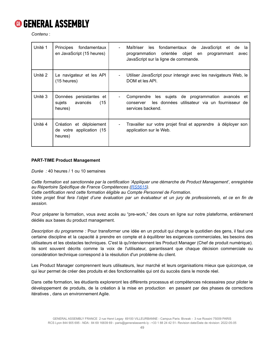

*Contenu* :

| Unité 1 | Principes<br>fondamentaux<br>en JavaScript (15 heures)          | les fondamentaux de JavaScript et de la<br>Maîtriser<br>$\blacksquare$<br>programmation orientée objet en programmant<br>avec<br>JavaScript sur la ligne de commande. |
|---------|-----------------------------------------------------------------|-----------------------------------------------------------------------------------------------------------------------------------------------------------------------|
| Unité 2 | Le navigateur et les API<br>$(15$ heures)                       | Utiliser JavaScript pour interagir avec les navigateurs Web, le<br>DOM et les API.                                                                                    |
| Unité 3 | Données persistantes et<br>sujets<br>avancés<br>(15)<br>heures) | Comprendre les sujets de programmation avancés et<br>$\overline{\phantom{0}}$<br>les données utilisateur via un fournisseur de<br>conserver<br>services backend.      |
| Unité 4 | Création et déploiement<br>de votre application (15<br>heures)  | Travailler sur votre projet final et apprendre à déployer son<br>application sur le Web.                                                                              |

### **PART-TIME Product Management**

*Durée :* 40 heures / 1 ou 10 semaines

*Cette formation est sanctionnée par la certification 'Appliquer une démarche de Product Management', enregistrée au Répertoire Spécifique de France Compétences [\(RS5615](https://www.francecompetences.fr/recherche/rs/5615/)).*

*Cette certification rend cette formation éligible au Compte Personnel de Formation.*

Votre projet final fera l'objet d'une évaluation par un évaluateur et un jury de professionnels, et ce en fin de *session.*

Pour préparer la formation, vous avez accès au "pre-work," des cours en ligne sur notre plateforme, entièrement dédiés aux bases du product management.

*Description du programme :* Pour transformer une idée en un produit qui change le quotidien des gens, il faut une certaine discipline et la capacité à prendre en compte et à équilibrer les exigences commerciales, les besoins des utilisateurs et les obstacles techniques. C'est là qu'interviennent les Product Manager (Chef de produit numérique). Ils sont souvent décrits comme la voix de l'utilisateur, garantissant que chaque décision commerciale ou considération technique correspond à la résolution d'un problème du client.

Les Product Manager comprennent leurs utilisateurs, leur marché et leurs organisations mieux que quiconque, ce qui leur permet de créer des produits et des fonctionnalités qui ont du succès dans le monde réel.

Dans cette formation, les étudiants exploreront les différents processus et compétences nécessaires pour piloter le développement de produits, de la création à la mise en production en passant par des phases de corrections itératives , dans un environnement Agile.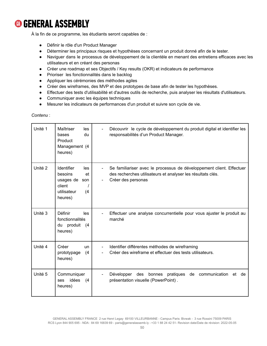À la fin de ce programme, les étudiants seront capables de :

- Définir le rôle d'un Product Manager
- Déterminer les principaux risques et hypothèses concernant un produit donné afin de le tester.
- Naviguer dans le processus de développement de la clientèle en menant des entretiens efficaces avec les utilisateurs et en créant des personas
- Créer une roadmap et ses Objectifs / Key results (OKR) et indicateurs de performance
- Prioriser les fonctionnalités dans le backlog
- Appliquer les cérémonies des méthodes agiles
- Créer des wireframes, des MVP et des prototypes de base afin de tester les hypothèses.
- Effectuer des tests d'utilisabilité et d'autres outils de recherche, puis analyser les résultats d'utilisateurs.
- Communiquer avec les équipes techniques
- Mesurer les indicateurs de performances d'un produit et suivre son cycle de vie.

### *Contenu* :

| Unité 1 | Maîtriser<br>les<br>du<br>bases<br>Product<br>Management (4<br>heures)                                | Découvrir le cycle de développement du produit digital et identifier les<br>$\blacksquare$<br>responsabilités d'un Product Manager.                                         |
|---------|-------------------------------------------------------------------------------------------------------|-----------------------------------------------------------------------------------------------------------------------------------------------------------------------------|
| Unité 2 | <b>Identifier</b><br>les<br>besoins<br>et<br>usages de son<br>client<br>utilisateur<br>(4)<br>heures) | Se familiariser avec le processus de développement client. Effectuer<br>des recherches utilisateurs et analyser les résultats clés.<br>Créer des personas<br>$\blacksquare$ |
| Unité 3 | Définir<br>les<br>fonctionnalités<br>du produit<br>(4)<br>heures)                                     | Effectuer une analyse concurrentielle pour vous ajuster le produit au<br>$\blacksquare$<br>marché                                                                           |
| Unité 4 | Créer<br>un<br>prototypage<br>(4)<br>heures)                                                          | Identifier différentes méthodes de wireframing<br>$\overline{\phantom{a}}$<br>Créer des wireframe et effectuer des tests utilisateurs.                                      |
| Unité 5 | Communiquer<br>idées<br>(4)<br>ses<br>heures)                                                         | Développer<br>des<br>bonnes pratiques<br>de<br>communication<br>et de<br>présentation visuelle (PowerPoint).                                                                |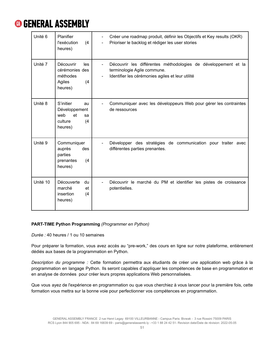

| Unité 6  | Planifier<br>l'exécution<br>(4)<br>heures)                                       | Créer une roadmap produit, définir les Objectifs et Key results (OKR)<br>$\overline{\phantom{a}}$<br>Prioriser le backlog et rédiger les user stories<br>$\blacksquare$ |
|----------|----------------------------------------------------------------------------------|-------------------------------------------------------------------------------------------------------------------------------------------------------------------------|
| Unité 7  | Découvrir<br>les<br>cérémonies des<br>méthodes<br>Agiles<br>(4)<br>heures)       | Découvrir les différentes méthodologies de développement et la<br>terminologie Agile commune.<br>Identifier les cérémonies agiles et leur utilité<br>$\blacksquare$     |
| Unité 8  | S'initier<br>au<br>Développement<br>web<br>et<br>sa<br>(4)<br>culture<br>heures) | Communiquer avec les développeurs Web pour gérer les contraintes<br>de ressources                                                                                       |
| Unité 9  | Communiquer<br>auprès<br>des<br>parties<br>prenantes<br>(4)<br>heures)           | Développer des stratégies de communication pour traiter avec<br>$\overline{\phantom{0}}$<br>différentes parties prenantes.                                              |
| Unité 10 | Découverte<br>du<br>et<br>marché<br>insertion<br>(4)<br>heures)                  | Découvrir le marché du PM et identifier les pistes de croissance<br>potentielles.                                                                                       |

### **PART-TIME Python Programming** *(Programmer en Python)*

*Durée :* 40 heures / 1 ou 10 semaines

Pour préparer la formation, vous avez accès au "pre-work," des cours en ligne sur notre plateforme, entièrement dédiés aux bases de la programmation en Python.

*Description du programme :* Cette formation permettra aux étudiants de créer une application web grâce à la programmation en langage Python. Ils seront capables d'appliquer les compétences de base en programmation et en analyse de données pour créer leurs propres applications Web personnalisées.

Que vous ayez de l'expérience en programmation ou que vous cherchiez à vous lancer pour la première fois, cette formation vous mettra sur la bonne voie pour perfectionner vos compétences en programmation.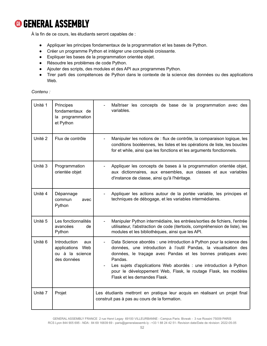À la fin de ce cours, les étudiants seront capables de :

- Appliquer les principes fondamentaux de la programmation et les bases de Python.
- Créer un programme Python et intégrer une complexité croissante.
- Expliquer les bases de la programmation orientée objet.
- Résoudre les problèmes de code Python.
- Ajouter des scripts, des modules et des API aux programmes Python.
- Tirer parti des compétences de Python dans le contexte de la science des données ou des applications Web.

*Contenu :*

| Unité 1            | Principes<br>fondamentaux de<br>la programmation<br>et Python             | Maîtriser les concepts de base de la programmation avec des<br>variables.                                                                                                                                                                                                                                                                                                                   |
|--------------------|---------------------------------------------------------------------------|---------------------------------------------------------------------------------------------------------------------------------------------------------------------------------------------------------------------------------------------------------------------------------------------------------------------------------------------------------------------------------------------|
| Unité <sub>2</sub> | Flux de contrôle                                                          | Manipuler les notions de : flux de contrôle, la comparaison logique, les<br>conditions booléennes, les listes et les opérations de liste, les boucles<br>for et while, ainsi que les fonctions et les arguments fonctionnels.                                                                                                                                                               |
| Unité 3            | Programmation<br>orientée objet                                           | Appliquer les concepts de bases à la programmation orientée objet,<br>aux dictionnaires, aux ensembles, aux classes et aux variables<br>d'instance de classe, ainsi qu'à l'héritage.                                                                                                                                                                                                        |
| Unité 4            | Dépannage<br>commun<br>avec<br>Python                                     | Appliquer les actions autour de la portée variable, les principes et<br>techniques de débogage, et les variables intermédiaires.                                                                                                                                                                                                                                                            |
| Unité 5            | Les fonctionnalités<br>avancées<br>de<br>Python                           | Manipuler Python intermédiaire, les entrées/sorties de fichiers, l'entrée<br>$\blacksquare$<br>utilisateur, l'abstraction de code (itertools, compréhension de liste), les<br>modules et les bibliothèques, ainsi que les API.                                                                                                                                                              |
| Unité 6            | Introduction<br>aux<br>applications Web<br>ou à la science<br>des données | Data Science abordés : une introduction à Python pour la science des<br>données, une introduction à l'outil Pandas, la visualisation des<br>données, le traçage avec Pandas et les bonnes pratiques avec<br>Pandas.<br>Les sujets d'applications Web abordés : une introduction à Python<br>pour le développement Web, Flask, le routage Flask, les modèles<br>Flask et les demandes Flask. |
| Unité 7            | Projet                                                                    | Les étudiants mettront en pratique leur acquis en réalisant un projet final<br>construit pas à pas au cours de la formation.                                                                                                                                                                                                                                                                |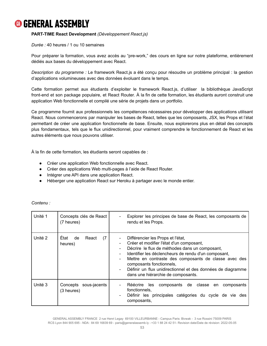### **PART-TIME React Development** *(Développement React.js)*

*Durée :* 40 heures / 1 ou 10 semaines

Pour préparer la formation, vous avez accès au "pre-work," des cours en ligne sur notre plateforme, entièrement dédiés aux bases du développement avec React.

*Description du programme :* Le framework React.js a été conçu pour résoudre un problème principal : la gestion d'applications volumineuses avec des données évoluant dans le temps.

Cette formation permet aux étudiants d'exploiter le framework React.js, d'utiliser la bibliothèque JavaScript front-end et son package populaire, et React Router. À la fin de cette formation, les étudiants auront construit une application Web fonctionnelle et compilé une série de projets dans un portfolio.

Ce programme fournit aux professionnels les compétences nécessaires pour développer des applications utilisant React. Nous commencerons par manipuler les bases de React, telles que les composants, JSX, les Props et l'état permettant de créer une application fonctionnelle de base. Ensuite, nous explorerons plus en détail des concepts plus fondamentaux, tels que le flux unidirectionnel, pour vraiment comprendre le fonctionnement de React et les autres éléments que nous pouvons utiliser.

À la fin de cette formation, les étudiants seront capables de :

- Créer une application Web fonctionnelle avec React.
- Créer des applications Web multi-pages à l'aide de React Router.
- Intégrer une API dans une application React.
- Héberger une application React sur Heroku à partager avec le monde entier.

| Unité 1 | Concepts clés de React<br>(7 heures)   | Explorer les principes de base de React, les composants de<br>-<br>rendu et les Props.                                                                                                                                                                                                                                                                                                                                                                 |
|---------|----------------------------------------|--------------------------------------------------------------------------------------------------------------------------------------------------------------------------------------------------------------------------------------------------------------------------------------------------------------------------------------------------------------------------------------------------------------------------------------------------------|
| Unité 2 | Etat<br>de<br>React<br>(7)<br>heures)  | Différencier les Props et l'état,<br>Créer et modifier l'état d'un composant,<br>$\overline{a}$<br>Décrire le flux de méthodes dans un composant,<br>-<br>Identifier les déclencheurs de rendu d'un composant,<br>$\blacksquare$<br>Mettre en contraste des composants de classe avec des<br>$\overline{\phantom{a}}$<br>composants fonctionnels,<br>Définir un flux unidirectionnel et des données de diagramme<br>dans une hiérarchie de composants. |
| Unité 3 | sous-jacents<br>Concepts<br>(3 heures) | Réécrire<br>les<br>composants de classe en<br>composants<br>fonctionnels,<br>Définir les principales catégories du cycle de vie des<br>$\overline{\phantom{0}}$<br>composants,                                                                                                                                                                                                                                                                         |

*Contenu :*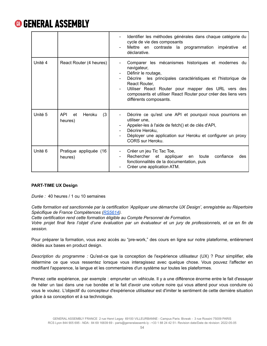

|         |                                              | Identifier les méthodes générales dans chaque catégorie du<br>cycle de vie des composants<br>Mettre en contraste la programmation impérative et<br>déclarative.                                                                                                                                                                                          |
|---------|----------------------------------------------|----------------------------------------------------------------------------------------------------------------------------------------------------------------------------------------------------------------------------------------------------------------------------------------------------------------------------------------------------------|
| Unité 4 | React Router (4 heures)                      | Comparer les mécanismes historiques et modernes du<br>navigateur,<br>Définir le routage,<br>les principales caractéristiques et l'historique de<br>Décrire<br>React Router,<br>Utiliser React Router pour mapper des URL vers des<br>$\overline{\phantom{a}}$<br>composants et utiliser React Router pour créer des liens vers<br>différents composants. |
| Unité 5 | <b>API</b><br>Heroku<br>(3)<br>et<br>heures) | Décrire ce qu'est une API et pourquoi nous pourrions en<br>$\frac{1}{2}$<br>utiliser une,<br>Appeler-les à l'aide de fetch() et de clés d'API,<br>Décrire Heroku,<br>Déployer une application sur Heroku et configurer un proxy<br>CORS sur Heroku.                                                                                                      |
| Unité 6 | Pratique appliquée (16<br>heures)            | Créer un jeu Tic Tac Toe,<br>$\overline{\phantom{a}}$<br>Rechercher et appliquer<br>confiance<br>toute<br>des<br>en<br>$\overline{\phantom{0}}$<br>fonctionnalités de la documentation, puis<br>Créer une application ATM.                                                                                                                               |

### **PART-TIME UX Design**

*Durée :* 40 heures / 1 ou 10 semaines

*Cette formation est sanctionnée par la certification 'Appliquer une démarche UX Design', enregistrée au Répertoire Spécifique de France Compétences [\(RS5614](https://www.francecompetences.fr/recherche/rs/5614/)).*

*Cette certification rend cette formation éligible au Compte Personnel de Formation.*

Votre projet final fera l'objet d'une évaluation par un évaluateur et un jury de professionnels, et ce en fin de *session.*

Pour préparer la formation, vous avez accès au "pre-work," des cours en ligne sur notre plateforme, entièrement dédiés aux bases en product design.

*Description du programme :* Qu'est-ce que la conception de l'expérience utilisateur (UX) ? Pour simplifier, elle détermine ce que vous ressentez lorsque vous interagissez avec quelque chose. Vous pouvez l'affecter en modifiant l'apparence, la langue et les commentaires d'un système sur toutes les plateformes.

Prenez cette expérience, par exemple : emprunter un véhicule. Il y a une différence énorme entre le fait d'essayer de héler un taxi dans une rue bondée et le fait d'avoir une voiture noire qui vous attend pour vous conduire où vous le voulez. L'objectif du concepteur d'expérience utilisateur est d'imiter le sentiment de cette dernière situation grâce à sa conception et à sa technologie.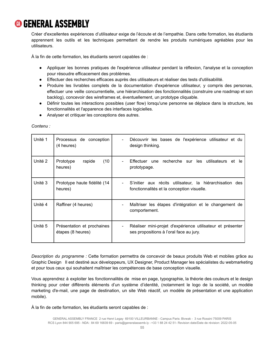Créer d'excellentes expériences d'utilisateur exige de l'écoute et de l'empathie. Dans cette formation, les étudiants apprennent les outils et les techniques permettant de rendre les produits numériques agréables pour les utilisateurs.

À la fin de cette formation, les étudiants seront capables de :

- Appliquer les bonnes pratiques de l'expérience utilisateur pendant la réflexion, l'analyse et la conception pour résoudre efficacement des problèmes.
- Effectuer des recherches efficaces auprès des utilisateurs et réaliser des tests d'utilisabilité.
- Produire les livrables complets de la documentation d'expérience utilisateur, y compris des personas, effectuer une veille concurrentielle, une hiérarchisation des fonctionnalités (construire une roadmap et son backlog), concevoir des wireframes et, éventuellement, un prototype cliquable.
- Définir toutes les interactions possibles (user flow) lorsqu'une personne se déplace dans la structure, les fonctionnalités et l'apparence des interfaces logicielles.
- Analyser et critiquer les conceptions des autres.

| Unité 1 | Processus de conception<br>(4 heures)           | Découvrir les bases de l'expérience utilisateur et du<br>design thinking.                              |
|---------|-------------------------------------------------|--------------------------------------------------------------------------------------------------------|
| Unité 2 | (10)<br>Prototype<br>rapide<br>heures)          | Effectuer une recherche sur les utilisateurs et<br>le<br>prototypage.                                  |
| Unité 3 | Prototype haute fidélité (14<br>heures)         | S'initier aux récits utilisateur, la hiérarchisation des<br>fonctionnalités et la conception visuelle. |
| Unité 4 | Raffiner (4 heures)                             | Maîtriser les étapes d'intégration et le changement de<br>comportement.                                |
| Unité 5 | Présentation et prochaines<br>étapes (8 heures) | Réaliser mini-projet d'expérience utilisateur et présenter<br>ses propositions à l'oral face au jury.  |

*Contenu :*

*Description du programme :* Cette formation permettra de concevoir de beaux produits Web et mobiles grâce au Graphic Design Il est destiné aux développeurs, UX Designer, Product Manager les spécialistes du webmarketing et pour tous ceux qui souhaitent maîtriser les compétences de base conception visuelle.

Vous apprendrez à exploiter les fonctionnalités de mise en page, typographie, la théorie des couleurs et le design thinking pour créer différents éléments d'un système d'identité, (notamment le logo de la société, un modèle marketing d'e-mail, une page de destination, un site Web réactif, un modèle de présentation et une application mobile).

À la fin de cette formation, les étudiants seront capables de :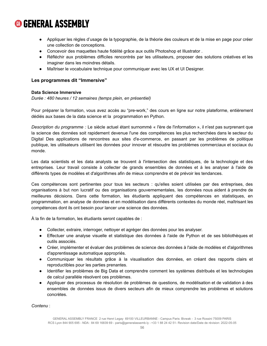- Appliquer les règles d'usage de la typographie, de la théorie des couleurs et de la mise en page pour créer une collection de conceptions.
- Concevoir des maquettes haute fidélité grâce aux outils Photoshop et Illustrator .
- Réfléchir aux problèmes difficiles rencontrés par les utilisateurs, proposer des solutions créatives et les imaginer dans les moindres détails.
- Maîtriser le vocabulaire technique pour communiquer avec les UX et UI Designer.

### **Les programmes dit "Immersive"**

### **Data Science Immersive**

*Durée : 480 heures / 12 semaines (temps plein, en présentiel)*

Pour préparer la formation, vous avez accès au "pre-work," des cours en ligne sur notre plateforme, entièrement dédiés aux bases de la data science et la programmation en Python.

*Description du programme :* Le siècle actuel étant surnommé « l'ère de l'information », il n'est pas surprenant que la science des données soit rapidement devenue l'une des compétences les plus recherchées dans le secteur du Digital Des applications de rencontres aux sites d'e-commerce, en passant par les problèmes de politique publique, les utilisateurs utilisent les données pour innover et résoudre les problèmes commerciaux et sociaux du monde.

Les data scientists et les data analysts se trouvent à l'intersection des statistiques, de la technologie et des entreprises. Leur travail consiste à collecter de grands ensembles de données et à les analyser à l'aide de différents types de modèles et d'algorithmes afin de mieux comprendre et de prévoir les tendances.

Ces compétences sont pertinentes pour tous les secteurs : qu'elles soient utilisées par des entreprises, des organisations à but non lucratif ou des organisations gouvernementales, les données nous aident à prendre de meilleures décisions. Dans cette formation, les étudiants appliquent des compétences en statistiques, en programmation, en analyse de données et en modélisation dans différents contextes du monde réel, maîtrisant les compétences dont ils ont besoin pour lancer une science des données.

À la fin de la formation, les étudiants seront capables de :

- Collecter, extraire, interroger, nettoyer et agréger des données pour les analyser.
- Effectuer une analyse visuelle et statistique des données à l'aide de Python et de ses bibliothèques et outils associés.
- Créer, implémenter et évaluer des problèmes de science des données à l'aide de modèles et d'algorithmes d'apprentissage automatique appropriés.
- Communiquer les résultats grâce à la visualisation des données, en créant des rapports clairs et reproductibles pour les parties prenantes.
- Identifier les problèmes de Big Data et comprendre comment les systèmes distribués et les technologies de calcul parallèle résolvent ces problèmes.
- Appliquer des processus de résolution de problèmes de questions, de modélisation et de validation à des ensembles de données issus de divers secteurs afin de mieux comprendre les problèmes et solutions concrètes.

*Contenu* :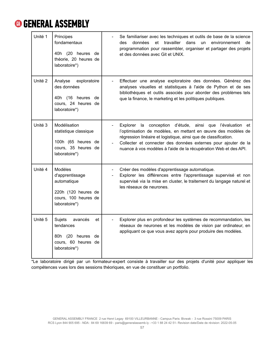| Unité 1            | Principes<br>fondamentaux<br>40h (20 heures de<br>théorie, 20 heures de<br>laboratoire*)                  | Se familiariser avec les techniques et outils de base de la science<br>et travailler dans<br>des<br>données<br>un<br>environnement<br>de<br>programmation pour rassembler, organiser et partager des projets<br>et des données avec Git et UNIX.                                                                                    |
|--------------------|-----------------------------------------------------------------------------------------------------------|-------------------------------------------------------------------------------------------------------------------------------------------------------------------------------------------------------------------------------------------------------------------------------------------------------------------------------------|
| Unité <sub>2</sub> | Analyse<br>exploratoire<br>des données<br>40h (16 heures de<br>cours, 24 heures de<br>laboratoire*)       | Effectuer une analyse exploratoire des données. Générez des<br>analyses visuelles et statistiques à l'aide de Python et de ses<br>bibliothèques et outils associés pour aborder des problèmes tels<br>que la finance, le marketing et les politiques publiques.                                                                     |
| Unité 3            | Modélisation<br>statistique classique<br>100h (65 heures de<br>cours, 35 heures de<br>laboratoire*)       | Explorer la conception d'étude, ainsi que l'évaluation et<br>l'optimisation de modèles, en mettant en œuvre des modèles de<br>régression linéaire et logistique, ainsi que de classification.<br>Collecter et connecter des données externes pour ajouter de la<br>nuance à vos modèles à l'aide de la récupération Web et des API. |
| Unité 4            | Modèles<br>d'apprentissage<br>automatique<br>220h (120 heures de<br>cours, 100 heures de<br>laboratoire*) | Créer des modèles d'apprentissage automatique.<br>Explorer les différences entre l'apprentissage supervisé et non<br>supervisé via la mise en cluster, le traitement du langage naturel et<br>les réseaux de neurones.                                                                                                              |
| Unité 5            | Sujets<br>avancés<br>et<br>tendances<br>80h (20 heures<br>de<br>cours, 60 heures de<br>laboratoire*)      | Explorer plus en profondeur les systèmes de recommandation, les<br>réseaux de neurones et les modèles de vision par ordinateur, en<br>appliquant ce que vous avez appris pour produire des modèles.                                                                                                                                 |

\*Le laboratoire dirigé par un formateur-expert consiste à travailler sur des projets d'unité pour appliquer les compétences vues lors des sessions théoriques, en vue de constituer un portfolio.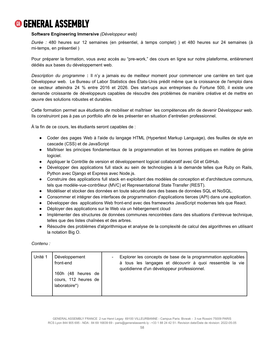### **Software Engineering Immersive** *(Développeur web)*

*Durée :* 480 heures sur 12 semaines (en présentiel, à temps complet) ) et 480 heures sur 24 semaines (à mi-temps, en présentiel )

Pour préparer la formation, vous avez accès au "pre-work," des cours en ligne sur notre plateforme, entièrement dédiés aux bases du développement web.

*Description du programme* **:** Il n'y a jamais eu de meilleur moment pour commencer une carrière en tant que Développeur web. Le Bureau of Labor Statistics des États-Unis prédit même que la croissance de l'emploi dans ce secteur atteindra 24 % entre 2016 et 2026. Des start-ups aux entreprises du Fortune 500, il existe une demande croissante de développeurs capables de résoudre des problèmes de manière créative et de mettre en œuvre des solutions robustes et durables.

Cette formation permet aux étudiants de mobiliser et maîtriser les compétences afin de devenir Développeur web. Ils construiront pas à pas un portfolio afin de les présenter en situation d'entretien professionnel.

À la fin de ce cours, les étudiants seront capables de :

- Coder des pages Web à l'aide du langage HTML (Hypertext Markup Language), des feuilles de style en cascade (CSS) et de JavaScript
- Maîtriser les principes fondamentaux de la programmation et les bonnes pratiques en matière de génie logiciel.
- Appliquer le Contrôle de version et développement logiciel collaboratif avec Git et GitHub.
- Développer des applications full stack au sein de technologies à la demande telles que Ruby on Rails, Python avec Django et Express avec Node.js.
- Construire des applications full stack en exploitant des modèles de conception et d'architecture communs, tels que modèle-vue-contrôleur (MVC) et Representational State Transfer (REST).
- Modéliser et stocker des données en toute sécurité dans des bases de données SQL et NoSQL.
- Consommer et intégrer des interfaces de programmation d'applications tierces (API) dans une application.
- Développer des applications Web front-end avec des frameworks JavaScript modernes tels que React.
- Déployer des applications sur le Web via un hébergement cloud
- Implémenter des structures de données communes rencontrées dans des situations d'entrevue technique, telles que des listes chaînées et des arbres.
- Résoudre des problèmes d'algorithmique et analyse de la complexité de calcul des algorithmes en utilisant la notation Big O.

*Contenu :*

| Unité 1 | Développement<br>front-end<br>160h (48 heures de<br>cours, 112 heures de<br>laboratoire*) | Explorer les concepts de base de la programmation applicables<br>à tous les langages et découvrir à quoi ressemble la vie<br>quotidienne d'un développeur professionnel. |
|---------|-------------------------------------------------------------------------------------------|--------------------------------------------------------------------------------------------------------------------------------------------------------------------------|
|---------|-------------------------------------------------------------------------------------------|--------------------------------------------------------------------------------------------------------------------------------------------------------------------------|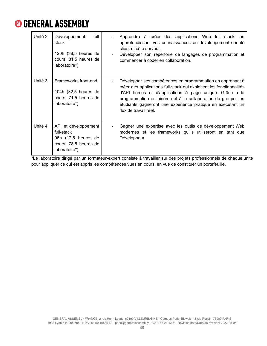| Unité 2 | Développement<br>full<br>stack<br>120h (38,5 heures de<br>cours, 81,5 heures de<br>laboratoire*)    | Apprendre à créer des applications Web full stack, en<br>approfondissant vos connaissances en développement orienté<br>client et côté serveur.<br>Développer son répertoire de langages de programmation et<br>commencer à coder en collaboration.                                                                                                      |
|---------|-----------------------------------------------------------------------------------------------------|---------------------------------------------------------------------------------------------------------------------------------------------------------------------------------------------------------------------------------------------------------------------------------------------------------------------------------------------------------|
| Unité 3 | Frameworks front-end<br>104h (32,5 heures de<br>cours, 71,5 heures de<br>laboratoire*)              | Développer ses compétences en programmation en apprenant à<br>créer des applications full-stack qui exploitent les fonctionnalités<br>d'API tierces et d'applications à page unique. Grâce à la<br>programmation en binôme et à la collaboration de groupe, les<br>étudiants gagneront une expérience pratique en exécutant un<br>flux de travail réel. |
| Unité 4 | API et développement<br>full-stack<br>96h (17,5 heures de<br>cours, 78,5 heures de<br>laboratoire*) | Gagner une expertise avec les outils de développement Web<br>modernes et les frameworks qu'ils utiliseront en tant que<br>Développeur                                                                                                                                                                                                                   |

\*Le laboratoire dirigé par un formateur-expert consiste à travailler sur des projets professionnels de chaque unité pour appliquer ce qui est appris les compétences vues en cours, en vue de constituer un portefeuille.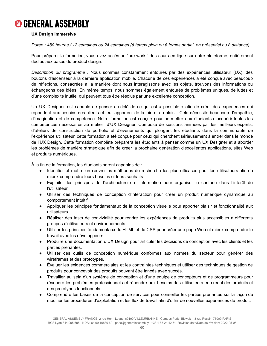### **UX Design Immersive**

Durée : 480 heures / 12 semaines ou 24 semaines (à temps plein ou à temps partiel, en présentiel ou à distance)

Pour préparer la formation, vous avez accès au "pre-work," des cours en ligne sur notre plateforme, entièrement dédiés aux bases du product design.

*Description du programme :* Nous sommes constamment entourés par des expériences utilisateur (UX), des boutons d'ascenseur à la dernière application mobile. Chacune de ces expériences a été conçue avec beaucoup de réflexions, consacrées à la manière dont nous interagissons avec les objets, trouvons des informations ou échangeons des idées. En même temps, nous sommes également entourés de problèmes uniques, de luttes et d'une complexité inutile, qui peuvent tous être résolus par une excellente conception.

Un UX Designer est capable de penser au-delà de ce qui est « possible » afin de créer des expériences qui répondent aux besoins des clients et leur apportent de la joie et du plaisir. Cela nécessite beaucoup d'empathie, d'imagination et de compétence. Notre formation est conçue pour permettre aux étudiants d'acquérir toutes les compétences nécessaires au métier d'UX Designer. Composé de sessions animées par les meilleurs experts, d'ateliers de construction de portfolio et d'événements qui plongent les étudiants dans la communauté de l'expérience utilisateur, cette formation a été conçue pour ceux qui cherchent sérieusement à entrer dans le monde de l'UX Design. Cette formation complète préparera les étudiants à penser comme un UX Designer et à aborder les problèmes de manière stratégique afin de créer la prochaine génération d'excellentes applications, sites Web et produits numériques.

À la fin de la formation, les étudiants seront capables de :

- Identifier et mettre en œuvre les méthodes de recherche les plus efficaces pour les utilisateurs afin de mieux comprendre leurs besoins et leurs souhaits.
- Exploiter les principes de l'architecture de l'information pour organiser le contenu dans l'intérêt de l'utilisateur.
- Utiliser des techniques de conception d'interaction pour créer un produit numérique dynamique au comportement intuitif.
- Appliquer les principes fondamentaux de la conception visuelle pour apporter plaisir et fonctionnalité aux utilisateurs.
- Réaliser des tests de convivialité pour rendre les expériences de produits plus accessibles à différents groupes d'utilisateurs et environnements.
- Utiliser les principes fondamentaux du HTML et du CSS pour créer une page Web et mieux comprendre le travail avec les développeurs.
- Produire une documentation d'UX Design pour articuler les décisions de conception avec les clients et les parties prenantes.
- Utiliser des outils de conception numérique conformes aux normes du secteur pour générer des wireframes et des prototypes.
- Évaluer les exigences commerciales et les contraintes techniques et utiliser des techniques de gestion de produits pour concevoir des produits pouvant être lancés avec succès.
- Travailler au sein d'un système de conception et d'une équipe de concepteurs et de programmeurs pour résoudre les problèmes professionnels et répondre aux besoins des utilisateurs en créant des produits et des prototypes fonctionnels.
- Comprendre les bases de la conception de services pour conseiller les parties prenantes sur la façon de modifier les procédures d'exploitation et les flux de travail afin d'offrir de nouvelles expériences de produit.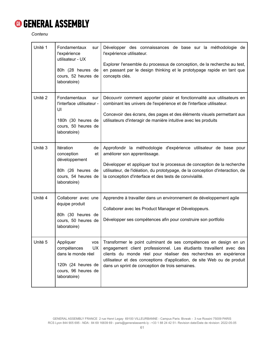*Contenu*

| Unité 1 | Fondamentaux<br>sur<br>l'expérience<br>utilisateur - UX<br>80h (28 heures de<br>cours, 52 heures de<br>laboratoire)             | Développer des connaissances de base sur la méthodologie de<br>l'expérience utilisateur.<br>Explorer l'ensemble du processus de conception, de la recherche au test,<br>en passant par le design thinking et le prototypage rapide en tant que<br>concepts clés.                                                                           |
|---------|---------------------------------------------------------------------------------------------------------------------------------|--------------------------------------------------------------------------------------------------------------------------------------------------------------------------------------------------------------------------------------------------------------------------------------------------------------------------------------------|
| Unité 2 | Fondamentaux<br>sur<br>l'interface utilisateur -<br>UI<br>180h (30 heures de<br>cours, 50 heures de<br>laboratoire)             | Découvrir comment apporter plaisir et fonctionnalité aux utilisateurs en<br>combinant les univers de l'expérience et de l'interface utilisateur.<br>Concevoir des écrans, des pages et des éléments visuels permettant aux<br>utilisateurs d'interagir de manière intuitive avec les produits                                              |
| Unité 3 | Itération<br>de<br>conception<br>et<br>développement<br>80h (26 heures de<br>cours, 54 heures de<br>laboratoire)                | Approfondir la méthodologie d'expérience utilisateur de base pour<br>améliorer son apprentissage.<br>Développer et appliquer tout le processus de conception de la recherche<br>utilisateur, de l'idéation, du prototypage, de la conception d'interaction, de<br>la conception d'interface et des tests de convivialité.                  |
| Unité 4 | Collaborer avec une<br>équipe produit<br>80h (30 heures de<br>cours, 50 heures de<br>laboratoire)                               | Apprendre à travailler dans un environnement de développement agile<br>Collaborer avec les Product Manager et Développeurs.<br>Développer ses compétences afin pour construire son portfolio                                                                                                                                               |
| Unité 5 | Appliquer<br>vos<br>compétences<br><b>UX</b><br>dans le monde réel<br>120h (24 heures de<br>cours, 96 heures de<br>laboratoire) | Transformer le point culminant de ses compétences en design en un<br>engagement client professionnel. Les étudiants travaillent avec des<br>clients du monde réel pour réaliser des recherches en expérience<br>utilisateur et des conceptions d'application, de site Web ou de produit<br>dans un sprint de conception de trois semaines. |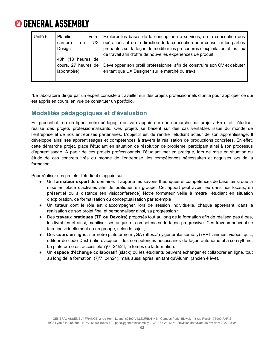

| Unité 6 | Planifier<br>votre I<br>carrière<br>UX<br>en<br>Design<br>(13 heures de<br>40h | Explorer les bases de la conception de services, de la conception des<br>opérations et de la direction de la conception pour conseiller les parties<br>prenantes sur la façon de modifier les procédures d'exploitation et les flux<br>de travail afin d'offrir de nouvelles expériences de produit. |
|---------|--------------------------------------------------------------------------------|------------------------------------------------------------------------------------------------------------------------------------------------------------------------------------------------------------------------------------------------------------------------------------------------------|
|         | cours. 27 heures de<br>laboratoire)                                            | Développer son profil professionnel afin de construire son CV et débuter<br>en tant que UX Designer sur le marché du travail.                                                                                                                                                                        |

\*Le laboratoire dirigé par un expert consiste à travailler sur des projets professionnels d'unité pour appliquer ce qui est appris en cours, en vue de constituer un portfolio.

### <span id="page-62-0"></span>**Modalités pédagogiques et d'évaluation**

En présentiel ou en ligne, notre pédagogie active s'appuie sur une démarche par projets. En effet, l'étudiant réalise des projets professionnalisants. Ces projets se basent sur des cas véritables issus du monde de l'entreprise et de nos entreprises partenaires. L'objectif est de rendre l'étudiant acteur de son apprentissage. Il développe ainsi ses apprentissages et compétences à travers la réalisation de productions concrètes. En effet, cette démarche projet, place l'étudiant en situation de résolution de problème, participant ainsi à son processus d'apprentissage. A partir de ces projets professionnels, l'étudiant met en pratique, lors de mise en situation ou étude de cas concrets tirés du monde de l'entreprise, les compétences nécessaires et acquises lors de la formation.

Pour réaliser ses projets, l'étudiant s'appuie sur :

- Un **formateur expert** du domaine. Il apporte les savoirs théoriques et compétences de base, ainsi que la mise en place d'activités afin de pratiquer en groupe. Cet apport peut avoir lieu dans nos locaux, en présentiel ou à distance (en visioconférence) Notre formateur veille à mettre l'étudiant en situation d'exploration, de formalisation ou conceptualisation par exemple ;
- Un **tuteur** dont le rôle est d'accompagner, lors de session individuelle, chaque apprenant, dans la réalisation de son projet final et personnaliser ainsi, sa progression ;
- Des **travaux pratiques (TP ou Devoirs)** proposés tout au long de la formation afin de réaliser, pas à pas, les livrables et ainsi, mobiliser ses acquis et compétences de façon progressive. Ces travaux peuvent se faire individuellement ou en groupe, selon le sujet ;
- Des **cours en ligne,** sur notre plateforme myGA (https://my.generalassemb.ly) (PPT animés, vidéos, quiz, éditeur de code Dash) afin d'acquérir des compétences nécessaires de façon autonome et à son rythme. La plateforme est accessible 7j/7, 24h24, le temps de la formation.
- Un **espace d'échange collaboratif** (slack) où les étudiants peuvent échanger et collaborer en ligne, tout au long de la formation (7j/7, 24h24), mais aussi après, en tant qu'Alumni (ancien élève).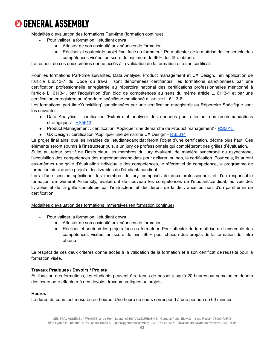

### Modalités d'évaluation des formations Part-time (formation continue)

- Pour valider la formation. l'étudiant devra :
	- Attester de son assiduité aux séances de formation
	- Réaliser et soutenir le projet final face au formateur. Pour attester de la maîtrise de l'ensemble des compétences visées, un score de minimum de 66% doit être obtenu..

Le respect de ces deux critères donne accès à la validation de la formation et à son certificat.

Pour les formations Part-time suivantes, Data Analyse, Product management et UX Design, en application de l'article L.6313-7 du Code du travail, sont dénommées certifiantes, les formations sanctionnées par une certification professionnelle enregistrée au répertoire national des certifications professionnelles mentionné à l'article L. 6113-1, par l'acquisition d'un bloc de compétences au sens du même article L. 6113-1 et par une certification enregistrée au répertoire spécifique mentionné à l'article L. 6113-6.

Les formations 'part-time'/'upskilling' sanctionnées par une certification enregistrée au Répertoire Spécifique sont les suivantes :

- Data Analytics : certification 'Extraire et analyser des données pour effectuer des recommandations stratégiques' - [RS5613](https://www.francecompetences.fr/recherche/rs/5613/)
- Product Management : certification 'Appliquer une démarche de Product management' [RS5615](https://www.francecompetences.fr/recherche/rs/5615/)
- UX Design : certification 'Appliquer une démarche UX Design' [RS5614](https://www.francecompetences.fr/recherche/rs/5614/)

Le projet final ainsi que les livrables de l'étudiant/candidat feront l'objet d'une certification, décrite plus haut. Ces éléments seront soumis à l'instructeur puis, à un jury de professionnels qui compléteront des grilles d'évaluation.

Suite au retour positif de l'instructeur, les membres du jury évaluent, de manière synchrone ou asynchrone, l'acquisition des compétences des apprenants/candidats pour délivrer, ou non, la certification. Pour cela, ils auront eux-mêmes une grille d'évaluation individuelle des compétences, le référentiel de compétence, le programme de formation ainsi que le projet et les livrables de l'étudiant/ candidat.

Lors d'une session spécifique, les membres du jury, composés de deux professionnels et d'un responsable formation de General Assembly, évalueront de nouveau les compétences de l'étudiant/candidat, au vue des livrables et de la grille complétée par l'instructeur, et décideront de la délivrance ou non, d'un parchemin de certification.

### Modalités d'évaluation des formations Immersives (en formation continue)

- Pour valider la formation. l'étudiant devra :
	- Attester de son assiduité aux séances de formation
	- Réaliser et soutenir les projets face au formateur. Pour attester de la maîtrise de l'ensemble des compétences visées, un score de min. 66% pour chacun des projets de la formation doit être obtenu

Le respect de ces deux critères donne accès à la validation de la formation et à son certificat de réussite pour la formation visée.

### **Travaux Pratiques / Devoirs / Projets**

En fonction des formations, les étudiants peuvent être tenus de passer jusqu'à 20 heures par semaine en dehors des cours pour effectuer à des devoirs, travaux pratiques ou projets.

#### **Heures**

La durée du cours est mesurée en heures. Une heure de cours correspond à une période de 60 minutes.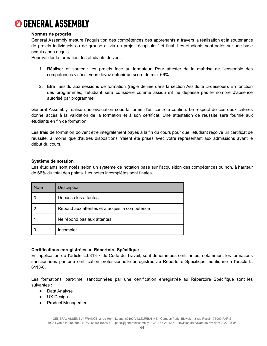

### **Normes de progrès**

General Assembly mesure l'acquisition des compétences des apprenants à travers la réalisation et la soutenance de projets individuels ou de groupe et via un projet récapitulatif et final. Les étudiants sont notés sur une base acquis / non acquis.

Pour valider la formation, les étudiants doivent :

- 1. Réaliser et soutenir les projets face au formateur. Pour attester de la maîtrise de l'ensemble des compétences visées, vous devez obtenir un score de min. 66%.
- 2. Être assidu aux sessions de formation (règle définie dans la section Assiduité ci-dessous). En fonction des programmes, l'étudiant sera considéré comme assidu s'il ne dépasse pas le nombre d'absence autorisé par programme.

General Assembly réalise une évaluation sous la forme d'un contrôle continu. Le respect de ces deux critères donne accès à la validation de la formation et à son certificat. Une attestation de réussite sera fournie aux étudiants en fin de formation.

Les frais de formation doivent être intégralement payés à la fin du cours pour que l'étudiant reçoive un certificat de réussite, à moins que d'autres dispositions n'aient été prises avec votre représentant aux admissions avant le début du cours.

### **Système de notation**

Les étudiants sont notés selon un système de notation basé sur l'acquisition des compétences ou non, à hauteur de 66% du total des points. Les notes incomplètes sont finales.

| <b>Note</b> | <b>Description</b>                            |
|-------------|-----------------------------------------------|
|             | Dépasse les attentes                          |
|             | Répond aux attentes et a acquis la compétence |
|             | Ne répond pas aux attentes                    |
|             | Incomplet                                     |

### **Certifications enregistrées au Répertoire Spécifique**

En application de l'article L.6313-7 du Code du Travail, sont dénommées certifiantes, notamment les formations sanctionnées par une certification professionnelle enregistrée au Répertoire Spécifique mentionné à l'article L. 6113-6.

Les formations 'part-time' sanctionnées par une certification enregistrée au Répertoire Spécifique sont les suivantes :

- Data Analyse
- UX Design
- Product Management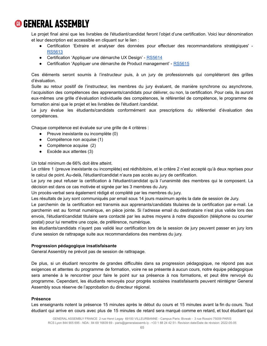Le projet final ainsi que les livrables de l'étudiant/candidat feront l'objet d'une certification. Voici leur dénomination et leur description est accessible en cliquant sur le lien :

- Certification 'Extraire et analyser des données pour effectuer des recommandations stratégiques' [RS5613](https://www.francecompetences.fr/recherche/rs/5613/)
- Certification 'Appliquer une démarche UX Design' [RS5614](https://www.francecompetences.fr/recherche/rs/5614/)
- Certification 'Appliquer une démarche de Product management' [RS5615](https://www.francecompetences.fr/recherche/rs/5615/)

Ces éléments seront soumis à l'instructeur puis, à un jury de professionnels qui compléteront des grilles d'évaluation.

Suite au retour positif de l'instructeur, les membres du jury évaluent, de manière synchrone ou asynchrone, l'acquisition des compétences des apprenants/candidats pour délivrer, ou non, la certification. Pour cela, ils auront eux-mêmes une grille d'évaluation individuelle des compétences, le référentiel de compétence, le programme de formation ainsi que le projet et les livrables de l'étudiant /candidat.

Le jury évalue les étudiants/candidats conformément aux prescriptions du référentiel d'évaluation des compétences.

Chaque compétence est évaluée sur une grille de 4 critères :

- Preuve inexistante ou incomplète (0)
- Compétence non acquise (1)
- Compétence acquise (2)
- $\bullet$  Excède aux attentes (3)

Un total minimum de 66% doit être atteint.

Le critère 1 (preuve inexistante ou incomplète) est rédhibitoire, et le critère 2 n'est accepté qu'à deux reprises pour le calcul de point. Au-delà, l'étudiant/candidat n'aura pas accès au jury de certification.

Le jury ne peut refuser la certification à l'étudiant/candidat qu'à l'unanimité des membres qui le composent. La décision est dans ce cas motivée et signée par les 3 membres du Jury.

Un procès-verbal sera également rédigé et complété par les membres du jury.

Les résultats de jury sont communiqués par email sous 14 jours maximum après la date de session de Jury.

Le parchemin de la certification est transmis aux apprenants/candidats titulaires de la certification par e-mail. Le parchemin est au format numérique, en pièce jointe. Si l'adresse email du destinataire n'est plus valide lors des envois, l'étudiant/candidat titulaire sera contacté par les autres moyens à notre disposition (téléphone ou courrier postal) pour lui remettre une copie, de préférence, numérique.

les étudiants/candidats n'ayant pas validé leur certification lors de la session de jury peuvent passer en jury lors d'une session de rattrapage suite aux recommandations des membres du jury.

### **Progression pédagogique insatisfaisante**

General Assembly ne prévoit pas de session de rattrapage.

De plus, si un étudiant rencontre de grandes difficultés dans sa progression pédagogique, ne répond pas aux exigences et attentes du programme de formation, voire ne se présente à aucun cours, notre équipe pédagogique sera amenée à le rencontrer pour faire le point sur sa présence à nos formations, et peut être renvoyé du programme. Cependant, les étudiants renvoyés pour progrès scolaires insatisfaisants peuvent réintégrer General Assembly sous réserve de l'approbation du directeur régional.

### **Présence**

Les enseignants notent la présence 15 minutes après le début du cours et 15 minutes avant la fin du cours. Tout étudiant qui arrive en cours avec plus de 15 minutes de retard sera marqué comme en retard, et tout étudiant qui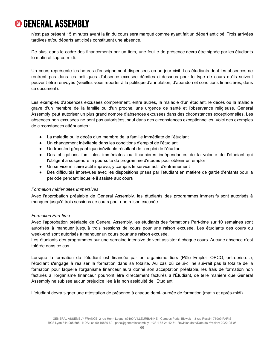n'est pas présent 15 minutes avant la fin du cours sera marqué comme ayant fait un départ anticipé. Trois arrivées tardives et/ou départs anticipés constituent une absence.

De plus, dans le cadre des financements par un tiers, une feuille de présence devra être signée par les étudiants le matin et l'après-midi.

Un cours représente les heures d'enseignement dispensées en un jour civil. Les étudiants dont les absences ne rentrent pas dans les politiques d'absence excusée décrites ci-dessous pour le type de cours qu'ils suivent peuvent être renvoyés (veuillez vous reporter à la politique d'annulation, d'abandon et conditions financières, dans ce document).

Les exemples d'absences excusées comprennent, entre autres, la maladie d'un étudiant, le décès ou la maladie grave d'un membre de la famille ou d'un proche, une urgence de santé et l'observance religieuse. General Assembly peut autoriser un plus grand nombre d'absences excusées dans des circonstances exceptionnelles. Les absences non excusées ne sont pas autorisées, sauf dans des circonstances exceptionnelles. Voici des exemples de circonstances atténuantes :

- La maladie ou le décès d'un membre de la famille immédiate de l'étudiant
- Un changement inévitable dans les conditions d'emploi de l'étudiant
- Un transfert géographique inévitable résultant de l'emploi de l'étudiant
- Des obligations familiales immédiates ou financières indépendantes de la volonté de l'étudiant qui l'obligent à suspendre la poursuite du programme d'études pour obtenir un emploi
- Un service militaire actif imprévu, y compris le service actif d'entraînement
- Des difficultés imprévues avec les dispositions prises par l'étudiant en matière de garde d'enfants pour la période pendant laquelle il assiste aux cours

### *Formation métier dites Immersives*

Avec l'approbation préalable de General Assembly, les étudiants des programmes immersifs sont autorisés à manquer jusqu'à trois sessions de cours pour une raison excusée.

### *Formation Part-time*

Avec l'approbation préalable de General Assembly, les étudiants des formations Part-time sur 10 semaines sont autorisés à manquer jusqu'à trois sessions de cours pour une raison excusée. Les étudiants des cours du week-end sont autorisés à manquer un cours pour une raison excusée.

Les étudiants des programmes sur une semaine intensive doivent assister à chaque cours. Aucune absence n'est tolérée dans ce cas.

Lorsque la formation de l'étudiant est financée par un organisme tiers (Pôle Emploi, OPCO, entreprise…), l'étudiant s'engage à réaliser la formation dans sa totalité. Au cas où celui-ci ne suivrait pas la totalité de la formation pour laquelle l'organisme financeur aura donné son acceptation préalable, les frais de formation non facturés à l'organisme financeur pourront être directement facturés à l'Étudiant, de telle manière que General Assembly ne subisse aucun préjudice liée à la non assiduité de l'Étudiant.

L'étudiant devra signer une attestation de présence à chaque demi-journée de formation (matin et après-midi).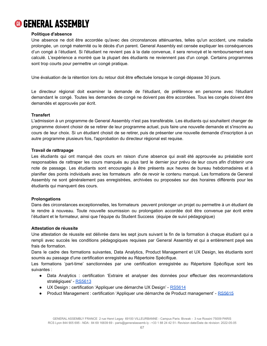

### **Politique d'absence**

Une absence ne doit être accordée qu'avec des circonstances atténuantes, telles qu'un accident, une maladie prolongée, un congé maternité ou le décès d'un parent. General Assembly est censée expliquer les conséquences d'un congé à l'étudiant. Si l'étudiant ne revient pas à la date convenue, il sera renvoyé et le remboursement sera calculé. L'expérience a montré que la plupart des étudiants ne reviennent pas d'un congé. Certains programmes sont trop courts pour permettre un congé pratique.

Une évaluation de la rétention lors du retour doit être effectuée lorsque le congé dépasse 30 jours.

Le directeur régional doit examiner la demande de l'étudiant, de préférence en personne avec l'étudiant demandant le congé. Toutes les demandes de congé ne doivent pas être accordées. Tous les congés doivent être demandés et approuvés par écrit.

### **Transfert**

L'admission à un programme de General Assembly n'est pas transférable. Les étudiants qui souhaitent changer de programme doivent choisir de se retirer de leur programme actuel, puis faire une nouvelle demande et s'inscrire au cours de leur choix. Si un étudiant choisit de se retirer, puis de présenter une nouvelle demande d'inscription à un autre programme plusieurs fois, l'approbation du directeur régional est requise.

#### **Travail de rattrapage**

Les étudiants qui ont manqué des cours en raison d'une absence qui avait été approuvée au préalable sont responsables de rattraper les cours manqués au plus tard le dernier jour prévu de leur cours afin d'obtenir une note de passage. Les étudiants sont encouragés à être présents aux heures de bureau hebdomadaires et à planifier des points individuels avec les formateurs afin de revoir le contenu manqué. Les formations de General Assembly ne sont généralement pas enregistrées, archivées ou proposées sur des horaires différents pour les étudiants qui manquent des cours.

#### **Prolongations**

Dans des circonstances exceptionnelles, les formateurs peuvent prolonger un projet ou permettre à un étudiant de le rendre à nouveau. Toute nouvelle soumission ou prolongation accordée doit être convenue par écrit entre l'étudiant et le formateur, ainsi que l'équipe du Student Success (équipe de suivi pédagogique)

#### **Attestation de réussite**

Une attestation de réussite est délivrée dans les sept jours suivant la fin de la formation à chaque étudiant qui a rempli avec succès les conditions pédagogiques requises par General Assembly et qui a entièrement payé ses frais de formation.

Dans le cadre des formations suivantes, Data Analytics, Product Management et UX Design, les étudiants sont soumis au passage d'une certification enregistrée au Répertoire Spécifique.

Les formations 'part-time' sanctionnées par une certification enregistrée au Répertoire Spécifique sont les suivantes :

- Data Analytics : certification 'Extraire et analyser des données pour effectuer des recommandations stratégiques' - [RS5613](https://www.francecompetences.fr/recherche/rs/5613/)
- UX Design : certification 'Appliquer une démarche UX Design' [RS5614](https://www.francecompetences.fr/recherche/rs/5614/)
- Product Management : certification 'Appliquer une démarche de Product management' [RS5615](https://www.francecompetences.fr/recherche/rs/5615/)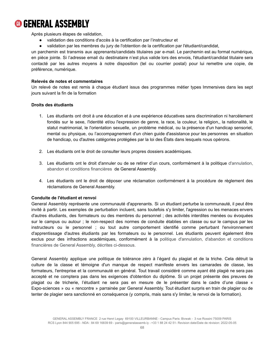

Après plusieurs étapes de validation,

- validation des conditions d'accès à la certification par l'instructeur et
- validation par les membres du jury de l'obtention de la certification par l'étudiant/candidat,

un parchemin est transmis aux apprenants/candidats titulaires par e-mail. Le parchemin est au format numérique, en pièce jointe. Si l'adresse email du destinataire n'est plus valide lors des envois, l'étudiant/candidat titulaire sera contacté par les autres moyens à notre disposition (tel ou courrier postal) pour lui remettre une copie, de préférence, numérique.

### **Relevés de notes et commentaires**

Un relevé de notes est remis à chaque étudiant issus des programmes métier types Immersives dans les sept jours suivant la fin de la formation

### **Droits des étudiants**

- 1. Les étudiants ont droit à une éducation et à une expérience éducatives sans discrimination ni harcèlement fondés sur le sexe, l'identité et/ou l'expression de genre, la race, la couleur, la religion,, la nationalité, le statut matrimonial, le l'orientation sexuelle, un problème médical, ou la présence d'un handicap sensoriel, mental ou physique, ou l'accompagnement d'un chien guide d'assistance pour les personnes en situation de handicap, ou d'autres catégories protégées par la loi des États dans lesquels nous opérons.
- 2. Les étudiants ont le droit de consulter leurs propres dossiers académiques.
- 3. Les étudiants ont le droit d'annuler ou de se retirer d'un cours, conformément à la politique d'annulation, abandon et conditions financières de General Assembly.
- 4. Les étudiants ont le droit de déposer une réclamation conformément à la procédure de règlement des réclamations de General Assembly.

### **Conduite de l'étudiant et renvoi**

General Assembly représente une communauté d'apprenants. Si un étudiant perturbe la communauté, il peut être invité à partir. Les exemples de perturbation incluent, sans toutefois s'y limiter, l'agression ou les menaces envers d'autres étudiants, des formateurs ou des membres du personnel ; des activités interdites menées ou évoquées sur le campus ou autour ; le non-respect des normes de conduite établies en classe ou sur le campus par les instructeurs ou le personnel ; ou tout autre comportement identifié comme perturbant l'environnement d'apprentissage d'autres étudiants par les formateurs ou le personnel. Les étudiants peuvent également être exclus pour des infractions académiques, conformément à la politique d'annulation, d'abandon et conditions financières de General Assembly, décrites ci-dessous.

General Assembly applique une politique de tolérance zéro à l'égard du plagiat et de la triche. Cela détruit la culture de la classe et témoigne d'un manque de respect manifeste envers les camarades de classe, les formateurs, l'entreprise et la communauté en général. Tout travail considéré comme ayant été plagié ne sera pas accepté et ne comptera pas dans les exigences d'obtention du diplôme. Si un projet présente des preuves de plagiat ou de tricherie, l'étudiant ne sera pas en mesure de le présenter dans le cadre d'une classe « Expo-sciences » ou « rencontre » parrainée par General Assembly. Tout étudiant surpris en train de plagier ou de tenter de plagier sera sanctionné en conséquence (y compris, mais sans s'y limiter, le renvoi de la formation).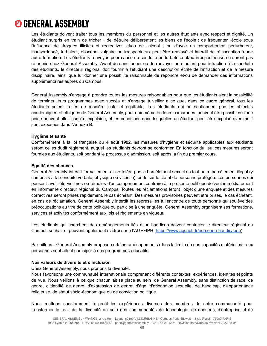Les étudiants doivent traiter tous les membres du personnel et les autres étudiants avec respect et dignité. Un étudiant surpris en train de tricher ; de détruire délibérément les biens de l'école ; de fréquenter l'école sous l'influence de drogues illicites et récréatives et/ou de l'alcool ; ou d'avoir un comportement perturbateur, insubordonné, turbulent, obscène, vulgaire ou irrespectueux peut être renvoyé et interdit de réinscription à une autre formation. Les étudiants renvoyés pour cause de conduite perturbatrice et/ou irrespectueuse ne seront pas ré-admis chez General Assembly. Avant de sanctionner ou de renvoyer un étudiant pour infraction à la conduite des étudiants, le directeur régional doit fournir à l'étudiant une description écrite de l'infraction et de la mesure disciplinaire, ainsi que lui donner une possibilité raisonnable de répondre et/ou de demander des informations supplémentaires auprès du Campus.

General Assembly s'engage à prendre toutes les mesures raisonnables pour que les étudiants aient la possibilité de terminer leurs programmes avec succès et s'engage à veiller à ce que, dans ce cadre général, tous les étudiants soient traités de manière juste et équitable. Les étudiants qui ne soutiennent pas les objectifs académiques et éthiques de General Assembly, pour eux-même ou leurs camarades, peuvent être passibles d'une peine pouvant aller jusqu'à l'expulsion, et les conditions dans lesquelles un étudiant peut être expulsé avec motif sont exposées dans l'Annexe B.

### **Hygiène et santé**

Conformément à la loi française du 4 août 1982, les mesures d'hygiène et sécurité applicables aux étudiants seront celles dudit règlement, auquel les étudiants devront se conformer. En fonction du lieu, ces mesures seront fournies aux étudiants, soit pendant le processus d'admission, soit après la fin du premier cours.

### **Égalité des chances**

General Assembly interdit formellement et ne tolère pas le harcèlement sexuel ou tout autre harcèlement illégal (y compris via la conduite verbale, physique ou visuelle) fondé sur le statut de personne protégée. Les personnes qui pensent avoir été victimes ou témoins d'un comportement contraire à la présente politique doivent immédiatement en informer le directeur régional du Campus. Toutes les réclamations feront l'objet d'une enquête et des mesures correctives seront prises rapidement, le cas échéant. Des mesures provisoires peuvent être prises, le cas échéant, en cas de réclamation. General Assembly interdit les représailles à l'encontre de toute personne qui soulève des préoccupations au titre de cette politique ou participe à une enquête. General Assembly organisera ses formations, services et activités conformément aux lois et règlements en vigueur.

Les étudiants qui cherchent des aménagements liés à un handicap doivent contacter le directeur régional du Campus souhait et peuvent également s'adresser à l'AGEFIPH ([https://www.agefiph.fr/personne-handicapee\)](https://www.agefiph.fr/personne-handicapee).

Par ailleurs, General Assembly propose certains aménagements (dans la limite de nos capacités matérielles) aux personnes souhaitant participer à nos programmes éducatifs.

### **Nos valeurs de diversité et d'inclusion**

Chez General Assembly, nous prônons la diversité.

Nous favorisons une communauté internationale comprenant différents contextes, expériences, identités et points de vue. Nous veillons à ce que chacun ait sa place au sein de General Assembly, sans distinction de race, de genre, d'identité de genre, d'expression de genre, d'âge, d'orientation sexuelle, de handicap, d'appartenance religieuse, de statut socio-économique ou de conviction politique.

Nous mettons constamment à profit les expériences diverses des membres de notre communauté pour transformer le récit de la diversité au sein des communautés de technologie, de données, d'entreprise et de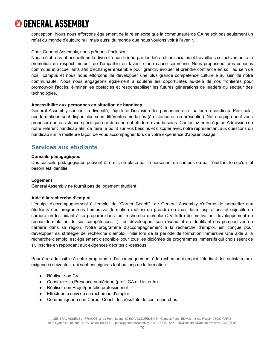conception. Nous nous efforçons également de faire en sorte que la communauté de GA ne soit pas seulement un reflet du monde d'aujourd'hui, mais aussi du monde que nous voulons voir à l'avenir.

### Chez General Assembly, nous prônons l'inclusion

Nous célébrons et accueillons la diversité non bridée par les hiérarchies sociales et travaillons collectivement à la promotion du respect mutuel, de l'empathie en faveur d'une cause commune. Nous proposons des espaces communs et accueillants afin d'échanger ensemble pour grandir, évoluer et prendre confiance en soi au sein de nos campus et nous nous efforçons de développer une plus grande compétence culturelle au sein de notre communauté. Nous nous engageons également à soutenir les opportunités au-delà de nos frontières pour promouvoir l'accès, éliminer les obstacles et responsabiliser les futures générations de leaders du secteur des technologies.

### **Accessibilité aux personnes en situation de handicap.**

General Assembly soutient la diversité, l'équité et l'inclusion des personnes en situation de handicap. Pour cela, nos formations sont disponibles sous différentes modalités (à distance ou en présentiel). Notre équipe peut vous proposer une assistance spécifique sur demande et étude de vos besoins. Contactez notre équipe Admission ou notre référent handicap afin de faire le point sur vos besoins et discuter avec notre représentant aux questions du handicap sur la meilleure façon de vous accompagner lors de votre expérience d'apprentissage.

### <span id="page-70-0"></span>**Services aux étudiants**

### **Conseils pédagogiques**

Des conseils pédagogiques peuvent être mis en place par le personnel du campus ou par l'étudiant lorsqu'un tel besoin est identifié.

### **Logement**

General Assembly ne fournit pas de logement étudiant.

### **Aide à la recherche d'emploi**

L'équipe d'accompagnement à l'emploi de "Career Coach" de General Assembly s'efforce de permettre aux étudiants des programmes Immersive (formation métier) de prendre en main leurs aspirations et objectifs de carrière en les aidant à se préparer dans leur recherche d'emploi (CV, lettre de motivation, développement du réseau formulation de ses compétences…) en développant son réseau et en identifiant ses perspectives de carrière dans sa région. Notre programme d'accompagnement à la recherche d'emploi, est conçue pour développer sa stratégie de recherche d'emploi, initié lors de la période de formation Immersive Une aide à la recherche d'emploi est également disponible pour tous les diplômés de programmes immersifs qui choisissent de s'y inscrire en répondant aux exigences décrites ci-dessous.

Pour être admissible à notre programme d'accompagnement à la recherche d'emploi l'étudiant doit satisfaire aux exigences suivantes, qui sont enseignées tout au long de la formation :

- Réaliser son CV
- Construire sa Présence numérique (profil GA et LinkedIn).
- Réaliser son Projet/portfolio professionnel.
- Effectuer le suivi de sa recherche d'emploi.
- Communiquer à son Career Coach les résultats de ses recherches.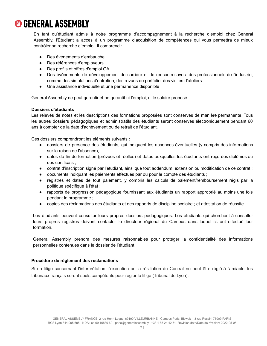En tant qu'étudiant admis à notre programme d'accompagnement à la recherche d'emploi chez General Assembly, l'Étudiant a accès à un programme d'acquisition de compétences qui vous permettra de mieux contrôler sa recherche d'emploi. Il comprend :

- Des événements d'embauche.
- Des références d'employeurs.
- Des profils et offres d'emploi GA.
- Des événements de développement de carrière et de rencontre avec des professionnels de l'industrie, comme des simulations d'entretien, des revues de portfolio, des visites d'ateliers.
- Une assistance individuelle et une permanence disponible

General Assembly ne peut garantir et ne garantit ni l'emploi, ni le salaire proposé.

### **Dossiers d'étudiants**

Les relevés de notes et les descriptions des formations proposées sont conservés de manière permanente. Tous les autres dossiers pédagogiques et administratifs des étudiants seront conservés électroniquement pendant 60 ans à compter de la date d'achèvement ou de retrait de l'étudiant.

Ces dossiers comprendront les éléments suivants :

- dossiers de présence des étudiants, qui indiquent les absences éventuelles (y compris des informations sur la raison de l'absence),
- dates de fin de formation (prévues et réelles) et dates auxquelles les étudiants ont reçu des diplômes ou des certificats ;
- contrat d'inscription signé par l'étudiant, ainsi que tout addendum, extension ou modification de ce contrat ;
- documents indiquant les paiements effectués par ou pour le compte des étudiants ;
- registres et dates de tout paiement, y compris les calculs de paiement/remboursement régis par la politique spécifique à l'état ;
- rapports de progression pédagogique fournissant aux étudiants un rapport approprié au moins une fois pendant le programme ;
- copies des réclamations des étudiants et des rapports de discipline scolaire ; et attestation de réussite

Les étudiants peuvent consulter leurs propres dossiers pédagogiques. Les étudiants qui cherchent à consulter leurs propres registres doivent contacter le directeur régional du Campus dans lequel ils ont effectué leur formation.

General Assembly prendra des mesures raisonnables pour protéger la confidentialité des informations personnelles contenues dans le dossier de l'étudiant.

### **Procédure de règlement des réclamations**

Si un litige concernant l'interprétation, l'exécution ou la résiliation du Contrat ne peut être réglé à l'amiable, les tribunaux français seront seuls compétents pour régler le litige (Tribunal de Lyon).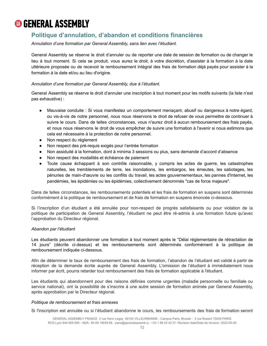# **<sup>6</sup> GENERAL ASSEMBLY**

# **Politique d'annulation, d'abandon et conditions financières**

*Annulation d'une formation par General Assembly, sans lien avec l'étudiant.*

General Assembly se réserve le droit d'annuler ou de reporter une date de session de formation ou de changer le lieu à tout moment. Si cela se produit, vous aurez le droit, à votre discrétion, d'assister à la formation à la date ultérieure proposée ou de recevoir le remboursement intégral des frais de formation déjà payés pour assister à la formation à la date et/ou au lieu d'origine.

# *Annulation d'une formation par General Assembly, due à l'étudiant.*

General Assembly se réserve le droit d'annuler une inscription à tout moment pour les motifs suivants (la liste n'est pas exhaustive) :

- Mauvaise conduite : Si vous manifestez un comportement menaçant, abusif ou dangereux à notre égard, ou vis-à-vis de notre personnel, nous nous réservons le droit de refuser de vous permettre de continuer à suivre le cours. Dans de telles circonstances, vous n'aurez droit à aucun remboursement des frais payés, et nous nous réservons le droit de vous empêcher de suivre une formation à l'avenir si nous estimons que cela est nécessaire à la protection de notre personnel.
- Non respect du règlement
- Non respect des pré-requis exigés pour l'entrée formation
- Non assiduité à la formation, dont à minima 3 sessions ou plus, sans demande d'accord d'absence
- Non respect des modalités et échéance de paiement
- Toute cause échappant à son contrôle raisonnable, y compris les actes de guerre, les catastrophes naturelles, les tremblements de terre, les inondations, les embargos, les émeutes, les sabotages, les pénuries de main-d'œuvre ou les conflits du travail, les actes gouvernementaux, les pannes d'Internet, les pandémies, les épidémies ou les épidémies, collectivement dénommés "cas de force majeure".

Dans de telles circonstances, les remboursements potentiels et les frais de formation en suspens sont déterminés conformément à la politique de remboursement et de frais de formation en suspens énoncée ci-dessous.

Si l'inscription d'un étudiant a été annulée pour non-respect de progrès satisfaisants ou pour violation de la politique de participation de General Assembly, l'étudiant ne peut être ré-admis à une formation future qu'avec l'approbation du Directeur régional.

## *Abandon par l'étudiant*

Les étudiants peuvent abandonner une formation à tout moment après le "Délai réglementaire de rétractation de 14 jours" (décrite ci-dessus) et les remboursements sont déterminés conformément à la politique de remboursement indiquée ci-dessous.

Afin de déterminer le taux de remboursement des frais de formation, l'abandon de l'étudiant est validé à partir de réception de la demande écrite auprès de General Assembly. L'omission de l'étudiant à immédiatement nous informer par écrit, pourra retarder tout remboursement des frais de formation applicable à l'étudiant.

Les étudiants qui abandonnent pour des raisons définies comme urgentes (maladie personnelle ou familiale ou service national), ont la possibilité de s'inscrire à une autre session de formation animée par General Assembly, après approbation par le Directeur régional.

#### *Politique de remboursement et frais annexes*

Si l'inscription est annulée ou si l'étudiant abandonne le cours, les remboursements des frais de formation seront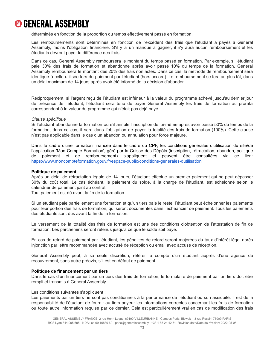

déterminés en fonction de la proportion du temps effectivement passé en formation.

Les remboursements sont déterminés en fonction de l'excédent des frais que l'étudiant a payés à General Assembly, moins l'obligation financière. S'il y a un manque à gagner, il n'y aura aucun remboursement et les étudiants devront payer la différence des frais.

Dans ce cas, General Assembly remboursera le montant du temps passé en formation. Par exemple, si l'étudiant paie 30% des frais de formation et abandonne après avoir passé 10% du temps de la formation, General Assembly remboursera le montant des 20% des frais non actés. Dans ce cas, la méthode de remboursement sera identique à celle utilisée lors du paiement par l'étudiant (hors accord). Le remboursement se fera au plus tôt, dans un délai maximum de 14 jours après avoir été informé de la décision d'abandon.

Réciproquement, si l'argent reçu de l'étudiant est inférieur à la valeur du programme achevé jusqu'au dernier jour de présence de l'étudiant, l'étudiant sera tenu de payer General Assembly les frais de formation au prorata correspondant à la valeur du programme qui n'était pas déjà payé.

#### *Clause spécifique*

Si l'étudiant abandonne la formation ou s'il annule l'inscription de lui-même après avoir passé 50% du temps de la formation, dans ce cas, il sera dans l'obligation de payer la totalité des frais de formation (100%). Cette clause n'est pas applicable dans le cas d'un abandon ou annulation pour force majeure.

Dans le cadre d'une formation financée dans le cadre du CPF, les conditions générales d'utilisation du site/de l'application 'Mon Compte Formation', géré par la Caisse des Dépôts (inscription, rétractation, abandon, politique de paiement et de remboursement) s'appliquent et peuvent être consultées via ce lien: <https://www.moncompteformation.gouv.fr/espace-public/conditions-generales-dutilisation>

#### **Politique de paiement**

Après un délai de rétractation légale de 14 jours, l'étudiant effectue un premier paiement qui ne peut dépasser 30% du coût total. Le cas échéant, le paiement du solde, à la charge de l'étudiant, est échelonné selon le calendrier de paiement joint au contrat.

Tout paiement est dû avant la fin de la formation.

Si un étudiant paie partiellement une formation et qu'un tiers paie le reste, l'étudiant peut échelonner les paiements pour leur portion des frais de formation, qui seront documentés dans l'échéancier de paiement. Tous les paiements des étudiants sont dus avant la fin de la formation.

Le versement de la totalité des frais de formation est une des conditions d'obtention de l'attestation de fin de formation. Les parchemins seront retenus jusqu'à ce que le solde soit payé.

En cas de retard de paiement par l'étudiant, les pénalités de retard seront majorées du taux d'intérêt légal après injonction par lettre recommandée avec accusé de réception ou email avec accusé de réception.

General Assembly peut, à sa seule discrétion, référer le compte d'un étudiant auprès d'une agence de recouvrement, sans autre préavis, s'il est en défaut de paiement.

#### **Politique de financement par un tiers**

Dans le cas d'un financement par un tiers des frais de formation, le formulaire de paiement par un tiers doit être rempli et transmis à General Assembly

#### Les conditions suivantes s'appliquent :

Les paiements par un tiers ne sont pas conditionnels à la performance de l'étudiant ou son assiduité. Il est de la responsabilité de l'étudiant de fournir au tiers payeur les informations correctes concernant les frais de formation ou toute autre information requise par ce dernier. Cela est particulièrement vrai en cas de modification des frais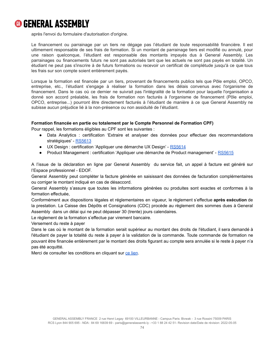

après l'envoi du formulaire d'autorisation d'origine.

Le financement ou parrainage par un tiers ne dégage pas l'étudiant de toute responsabilité financière. Il est ultimement responsable de ses frais de formation. Si un montant de parrainage tiers est modifié ou annulé, pour une raison quelconque, l'étudiant est responsable des montants impayés dus à General Assembly. Les parrainages ou financements futurs ne sont pas autorisés tant que les actuels ne sont pas payés en totalité. Un étudiant ne peut pas s'inscrire à de futurs formations ou recevoir un certificat de complétude jusqu'à ce que tous les frais sur son compte soient entièrement payés.

Lorsque la formation est financée par un tiers, provenant de financements publics tels que Pôle emploi, OPCO, entreprise, etc., l'étudiant s'engage à réaliser la formation dans les délais convenus avec l'organisme de financement. Dans le cas où ce dernier ne suivrait pas l'intégralité de la formation pour laquelle l'organisation a donné son accord préalable, les frais de formation non facturés à l'organisme de financement (Pôle emploi, OPCO, entreprise...) pourront être directement facturés à l'étudiant de manière à ce que General Assembly ne subisse aucun préjudice lié à la non-présence ou non assiduité de l'étudiant.

## **Formation financée en partie ou totalement par le Compte Personnel de Formation CPF)**

Pour rappel, les formations éligibles au CPF sont les suivantes :

- Data Analytics : certification 'Extraire et analyser des données pour effectuer des recommandations stratégiques' - [RS5613](https://www.francecompetences.fr/recherche/rs/5613/)
- UX Design : certification 'Appliquer une démarche UX Design' [RS5614](https://www.francecompetences.fr/recherche/rs/5614/)
- Product Management : certification 'Appliquer une démarche de Product management' [RS5615](https://www.francecompetences.fr/recherche/rs/5615/)

A l'issue de la déclaration en ligne par General Assembly du service fait, un appel à facture est généré sur l'Espace professionnel - EDOF.

General Assembly peut compléter la facture générée en saisissant des données de facturation complémentaires ou corriger le montant indiqué en cas de désaccord.

General Assembly s'assure que toutes les informations générées ou produites sont exactes et conformes à la formation effectuée,

Conformément aux dispositions légales et réglementaires en vigueur, le règlement s'effectue **après exécution** de la prestation. La Caisse des Dépôts et Consignations (CDC) procède au règlement des sommes dues à General Assembly dans un délai qui ne peut dépasser 30 (trente) jours calendaires.

Le règlement de la formation s'effectue par virement bancaire.

Versement du reste à payer

Dans le cas où le montant de la formation serait supérieur au montant des droits de l'étudiant, il sera demandé à l'étudiant de payer la totalité du reste à payer à la validation de la commande. Toute commande de formation ne pouvant être financée entièrement par le montant des droits figurant au compte sera annulée si le reste à payer n'a pas été acquitté.

Merci de consulter les conditions en cliquant sur ce [lien](https://www.moncompteformation.gouv.fr/espace-public/conditions-generales-dutilisation).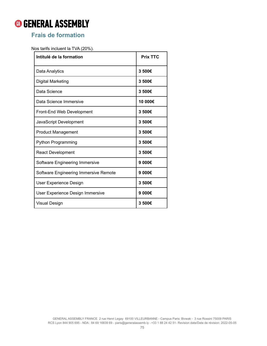# **GENERAL ASSEMBLY**

# **Frais de formation**

Nos tarifs incluent la TVA (20%).

| Intitulé de la formation              | <b>Prix TTC</b> |
|---------------------------------------|-----------------|
| Data Analytics                        | 3500€           |
| Digital Marketing                     | 3500€           |
| Data Science                          | 3500€           |
| Data Science Immersive                | 10 000€         |
| Front-End Web Development             | 3500€           |
| JavaScript Development                | 3500€           |
| <b>Product Management</b>             | 3500€           |
| <b>Python Programming</b>             | 3500€           |
| <b>React Development</b>              | 3500€           |
| Software Engineering Immersive        | 9 000€          |
| Software Engineering Immersive Remote | 9 000€          |
| User Experience Design                | 3500€           |
| User Experience Design Immersive      | 9 000€          |
| <b>Visual Design</b>                  | 3500€           |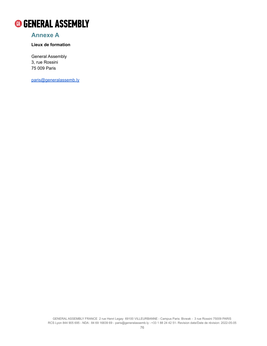

# **Annexe A**

# **Lieux de formation**

General Assembly 3, rue Rossini 75 009 Paris

[paris@generalassemb.ly](mailto:paris@generalassemb.ly)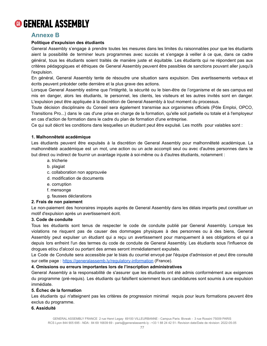

# **Annexe B**

# **Politique d'expulsion des étudiants**

General Assembly s'engage à prendre toutes les mesures dans les limites du raisonnables pour que les étudiants aient la possibilité de terminer leurs programmes avec succès et s'engage à veiller à ce que, dans ce cadre général, tous les étudiants soient traités de manière juste et équitable. Les étudiants qui ne répondent pas aux critères pédagogiques et éthiques de General Assembly peuvent être passibles de sanctions pouvant aller jusqu'à l'expulsion.

En général, General Assembly tente de résoudre une situation sans expulsion. Des avertissements verbaux et écrits peuvent précéder cette dernière et la plus grave des actions.

Lorsque General Assembly estime que l'intégrité, la sécurité ou le bien-être de l'organisme et de ses campus est mis en danger, alors les étudiants, le personnel, les clients, les visiteurs et les autres invités sont en danger. L'expulsion peut être appliquée à la discrétion de General Assembly à tout moment du processus.

Toute décision disciplinaire du Conseil sera également transmise aux organismes officiels (Pôle Emploi, OPCO, Transitions Pro...) dans le cas d'une prise en charge de la formation, qu'elle soit partielle ou totale et à l'employeur en cas d'action de formation dans le cadre du plan de formation d'une entreprise.

Ce qui suit décrit les conditions dans lesquelles un étudiant peut être expulsé. Les motifs pour valables sont :

## **1. Malhonnêteté académique**

Les étudiants peuvent être expulsés à la discrétion de General Assembly pour malhonnêteté académique. La malhonnêteté académique est un mot, une action ou un acte accompli seul ou avec d'autres personnes dans le but direct ou indirect de fournir un avantage injuste à soi-même ou à d'autres étudiants, notamment :

- a. tricherie
- b. plagiat
- c. collaboration non approuvée
- d. modification de documents
- e. corruption
- f. mensonge
- g. fausses déclarations

## **2. Frais de non paiement**

Le non-paiement des honoraires impayés auprès de General Assembly dans les délais impartis peut constituer un motif d'expulsion après un avertissement écrit.

## **3. Code de conduite**

Tous les étudiants sont tenus de respecter le code de conduite publié par General Assembly. Lorsque les violations ne risquent pas de causer des dommages physiques à des personnes ou à des biens, General Assembly peut expulser un étudiant qui a reçu un avertissement pour manquement à ses obligations et qui a depuis lors enfreint l'un des termes du code de conduite de General Assembly. Les étudiants sous l'influence de drogues et/ou d'alcool ou portant des armes seront immédiatement expulsés.

Le Code de Conduite sera accessible par le biais du courriel envoyé par l'équipe d'admission et peut être consulté sur cette page : <https://generalassemb.ly/regulatory-information> (France).

## **4. Omissions ou erreurs importantes lors de l'inscription administratives**

General Assembly a la responsabilité de s'assurer que les étudiants ont été admis conformément aux exigences du programme (pré-requis). Les étudiants qui falsifient sciemment leurs candidatures sont soumis à une expulsion immédiate.

# **5. Échec de la formation**

Les étudiants qui n'atteignent pas les critères de progression minimal requis pour leurs formations peuvent être exclus du programme.

# **6. Assiduité**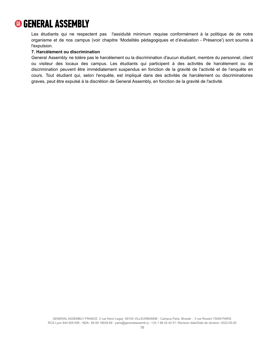

Les étudiants qui ne respectent pas l'assiduité minimum requise conformément à la politique de de notre organisme et de nos campus (voir chapitre 'Modalités pédagogiques et d'évaluation - Présence') sont soumis à l'expulsion.

#### **7. Harcèlement ou discrimination**

General Assembly ne tolère pas le harcèlement ou la discrimination d'aucun étudiant, membre du personnel, client ou visiteur des locaux des campus. Les étudiants qui participent à des activités de harcèlement ou de discrimination peuvent être immédiatement suspendus en fonction de la gravité de l'activité et de l'enquête en cours. Tout étudiant qui, selon l'enquête, est impliqué dans des activités de harcèlement ou discriminatoires graves, peut être expulsé à la discrétion de General Assembly, en fonction de la gravité de l'activité.